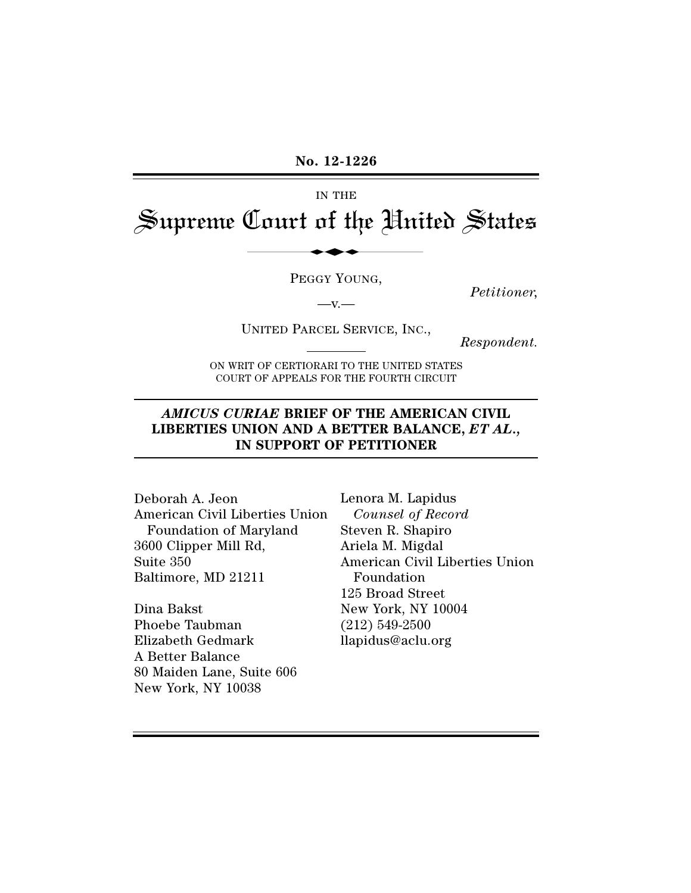**No. 12-1226**

IN THE

Supreme Court of the United States No. 12-1226<br>IN THE<br>Court of the Hni

PEGGY YOUNG,

 $-V.$ 

*Petitioner,*

UNITED PARCEL SERVICE, INC.,

*Respondent.*

ON WRIT OF CERTIORARI TO THE UNITED STATES COURT OF APPEALS FOR THE FOURTH CIRCUIT

## *AMICUS CURIAE* **BRIEF OF THE AMERICAN CIVIL LIBERTIES UNION AND A BETTER BALANCE,** *ET AL.,* **IN SUPPORT OF PETITIONER**

Deborah A. Jeon American Civil Liberties Union Foundation of Maryland 3600 Clipper Mill Rd, Suite 350 Baltimore, MD 21211

Dina Bakst Phoebe Taubman Elizabeth Gedmark A Better Balance 80 Maiden Lane, Suite 606 New York, NY 10038

Lenora M. Lapidus *Counsel of Record* Steven R. Shapiro Ariela M. Migdal American Civil Liberties Union Foundation 125 Broad Street New York, NY 10004 (212) 549-2500 llapidus@aclu.org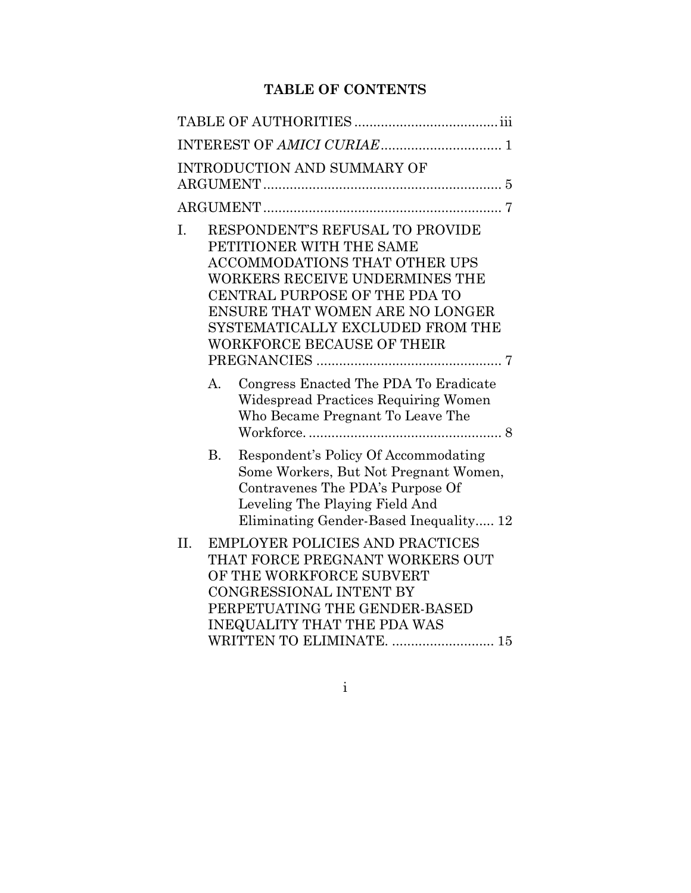# **TABLE OF CONTENTS**

|     |             | INTRODUCTION AND SUMMARY OF                                                                                                                                                                                                                                                        |
|-----|-------------|------------------------------------------------------------------------------------------------------------------------------------------------------------------------------------------------------------------------------------------------------------------------------------|
|     |             |                                                                                                                                                                                                                                                                                    |
| Ι.  |             | RESPONDENT'S REFUSAL TO PROVIDE<br>PETITIONER WITH THE SAME<br><b>ACCOMMODATIONS THAT OTHER UPS</b><br>WORKERS RECEIVE UNDERMINES THE<br>CENTRAL PURPOSE OF THE PDA TO<br>ENSURE THAT WOMEN ARE NO LONGER<br>SYSTEMATICALLY EXCLUDED FROM THE<br><b>WORKFORCE BECAUSE OF THEIR</b> |
|     | $A_{\cdot}$ | Congress Enacted The PDA To Eradicate<br>Widespread Practices Requiring Women<br>Who Became Pregnant To Leave The                                                                                                                                                                  |
|     | B.          | Respondent's Policy Of Accommodating<br>Some Workers, But Not Pregnant Women,<br>Contravenes The PDA's Purpose Of<br>Leveling The Playing Field And<br>Eliminating Gender-Based Inequality 12                                                                                      |
| II. |             | <b>EMPLOYER POLICIES AND PRACTICES</b><br>THAT FORCE PREGNANT WORKERS OUT<br>OF THE WORKFORCE SUBVERT<br>CONGRESSIONAL INTENT BY<br>PERPETUATING THE GENDER-BASED<br><b>INEQUALITY THAT THE PDA WAS</b><br>WRITTEN TO ELIMINATE.  15                                               |

i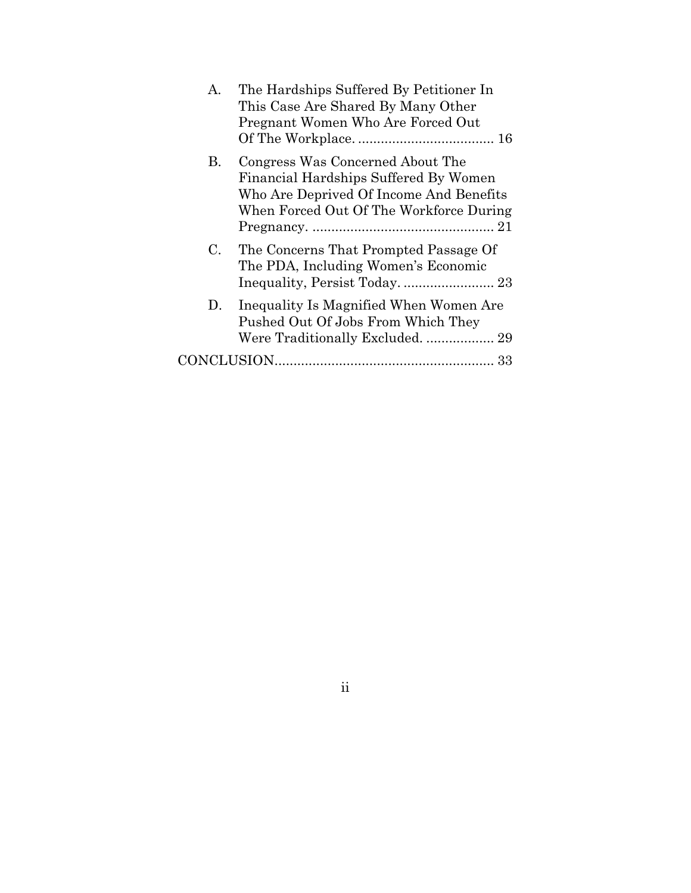| $\mathsf{A}$ . | The Hardships Suffered By Petitioner In<br>This Case Are Shared By Many Other<br>Pregnant Women Who Are Forced Out                                              |
|----------------|-----------------------------------------------------------------------------------------------------------------------------------------------------------------|
| B.             | Congress Was Concerned About The<br>Financial Hardships Suffered By Women<br>Who Are Deprived Of Income And Benefits<br>When Forced Out Of The Workforce During |
| $\mathbf{C}$   | The Concerns That Prompted Passage Of<br>The PDA, Including Women's Economic                                                                                    |
| D.             | Inequality Is Magnified When Women Are<br>Pushed Out Of Jobs From Which They<br>Were Traditionally Excluded.  29                                                |
|                |                                                                                                                                                                 |

ii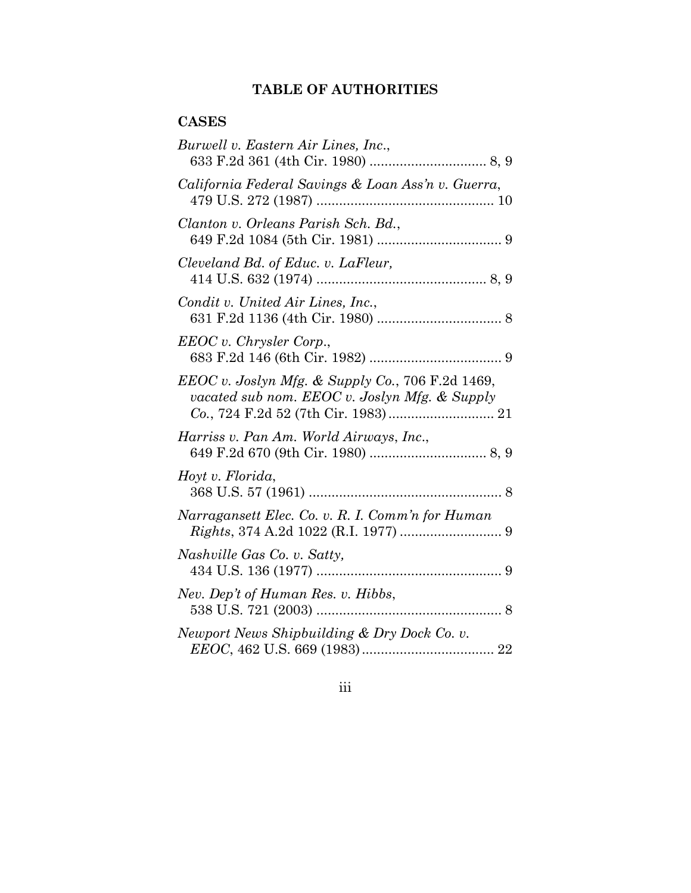# **TABLE OF AUTHORITIES**

# **CASES**

| Burwell v. Eastern Air Lines, Inc.,                                                               |
|---------------------------------------------------------------------------------------------------|
| California Federal Savings & Loan Ass'n v. Guerra,                                                |
| Clanton v. Orleans Parish Sch. Bd.,                                                               |
| Cleveland Bd. of Educ. v. LaFleur,                                                                |
| Condit v. United Air Lines, Inc.,                                                                 |
| EEOC v. Chrysler Corp.,                                                                           |
| EEOC v. Joslyn Mfg. & Supply Co., 706 F.2d 1469,<br>vacated sub nom. EEOC v. Joslyn Mfg. & Supply |
| Harriss v. Pan Am. World Airways, Inc.,                                                           |
| Hoyt v. Florida,                                                                                  |
| Narragansett Elec. Co. v. R. I. Comm'n for Human                                                  |
| Nashville Gas Co. v. Satty,                                                                       |
| Nev. Dep't of Human Res. v. Hibbs,                                                                |
| Newport News Shipbuilding & Dry Dock Co. v.                                                       |

iii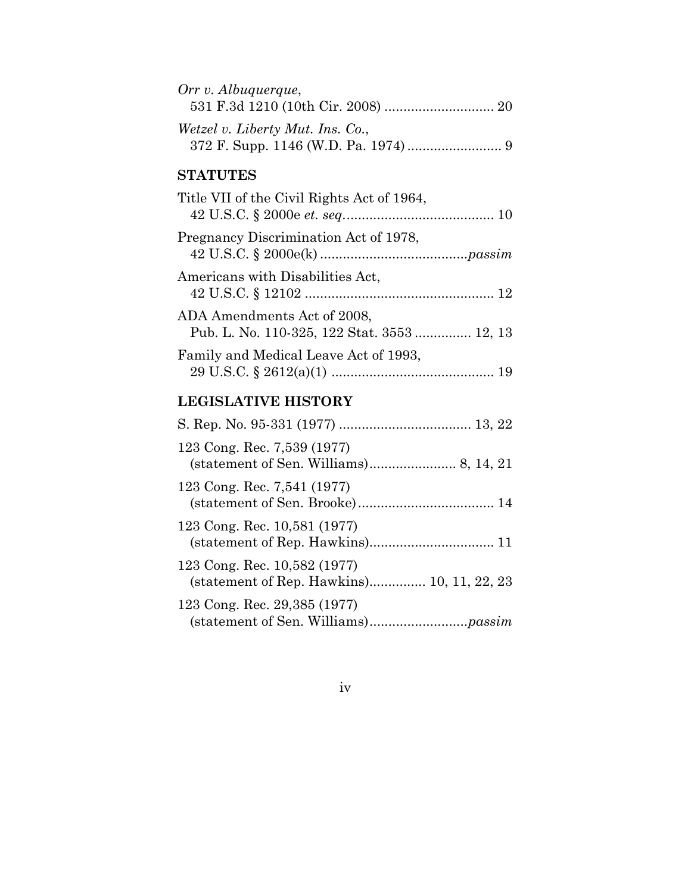| Orr v. Albuquerque,              |  |
|----------------------------------|--|
|                                  |  |
| Wetzel v. Liberty Mut. Ins. Co., |  |
|                                  |  |

# **STATUTES**

| Title VII of the Civil Rights Act of 1964,                                 |  |
|----------------------------------------------------------------------------|--|
| Pregnancy Discrimination Act of 1978,                                      |  |
| Americans with Disabilities Act,                                           |  |
| ADA Amendments Act of 2008,<br>Pub. L. No. 110-325, 122 Stat. 3553  12, 13 |  |
| Family and Medical Leave Act of 1993,                                      |  |

# **LEGISLATIVE HISTORY**

| 123 Cong. Rec. 7,539 (1977)                                                |
|----------------------------------------------------------------------------|
| 123 Cong. Rec. 7,541 (1977)                                                |
| 123 Cong. Rec. 10,581 (1977)                                               |
| 123 Cong. Rec. 10,582 (1977)<br>(statement of Rep. Hawkins) 10, 11, 22, 23 |
| 123 Cong. Rec. 29,385 (1977)                                               |

iv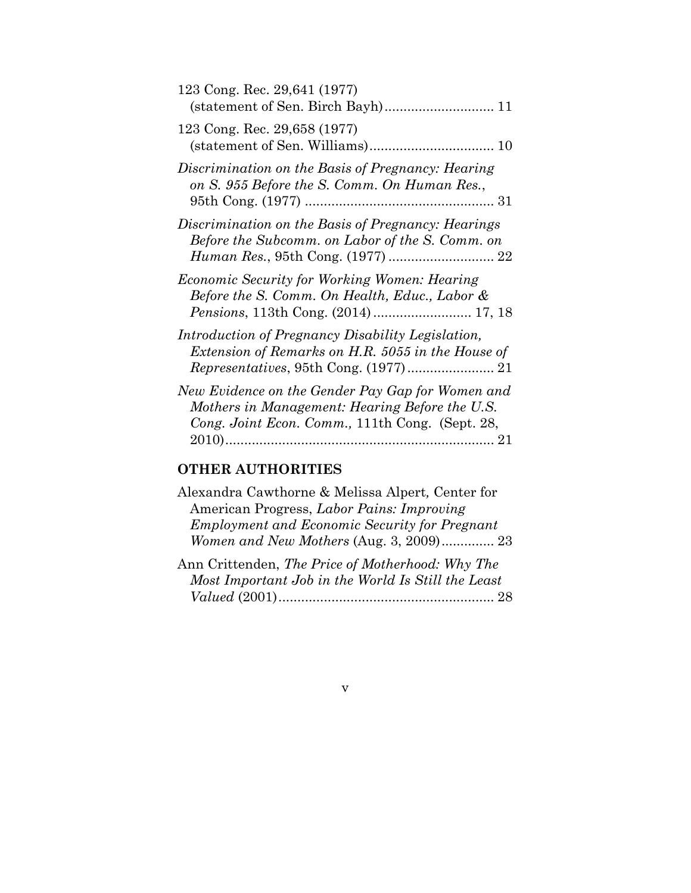| 123 Cong. Rec. 29,641 (1977)                                                                                                                          |
|-------------------------------------------------------------------------------------------------------------------------------------------------------|
| 123 Cong. Rec. 29,658 (1977)                                                                                                                          |
| Discrimination on the Basis of Pregnancy: Hearing<br>on S. 955 Before the S. Comm. On Human Res.,                                                     |
| Discrimination on the Basis of Pregnancy: Hearings<br>Before the Subcomm. on Labor of the S. Comm. on                                                 |
| Economic Security for Working Women: Hearing<br>Before the S. Comm. On Health, Educ., Labor &                                                         |
| Introduction of Pregnancy Disability Legislation,<br>Extension of Remarks on H.R. 5055 in the House of                                                |
| New Evidence on the Gender Pay Gap for Women and<br>Mothers in Management: Hearing Before the U.S.<br>Cong. Joint Econ. Comm., 111th Cong. (Sept. 28, |

# **OTHER AUTHORITIES**

| Alexandra Cawthorne & Melissa Alpert, Center for     |
|------------------------------------------------------|
| American Progress, Labor Pains: Improving            |
| <b>Employment and Economic Security for Pregnant</b> |
|                                                      |
| <i>Women and New Mothers</i> (Aug. 3, 2009) 23       |

| Ann Crittenden, The Price of Motherhood: Why The   |
|----------------------------------------------------|
| Most Important Job in the World Is Still the Least |
|                                                    |

# v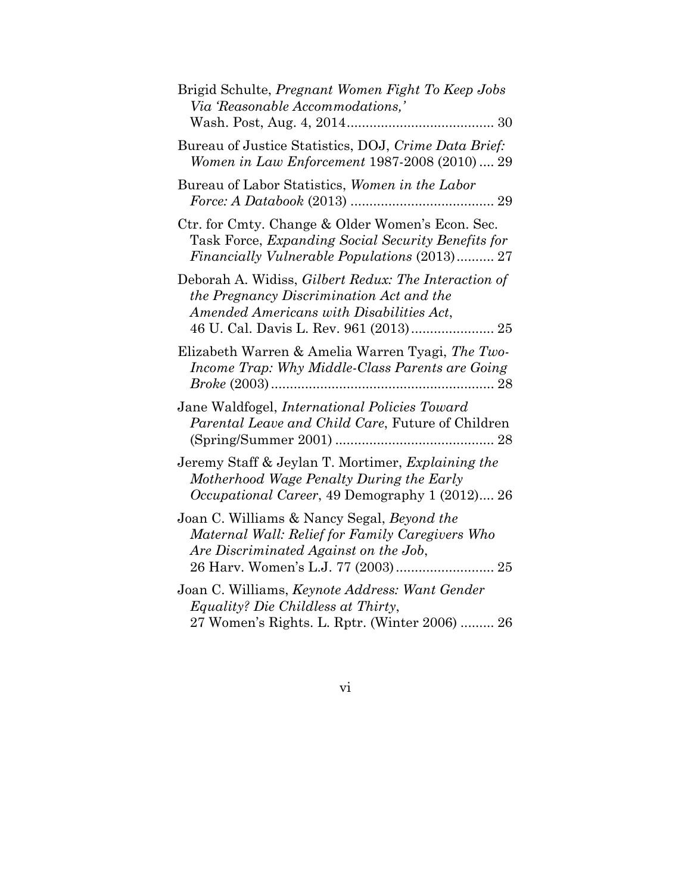| Brigid Schulte, Pregnant Women Fight To Keep Jobs<br>Via Reasonable Accommodations,'                                                                                                   |
|----------------------------------------------------------------------------------------------------------------------------------------------------------------------------------------|
| Bureau of Justice Statistics, DOJ, Crime Data Brief:<br>Women in Law Enforcement 1987-2008 (2010)  29                                                                                  |
| Bureau of Labor Statistics, Women in the Labor                                                                                                                                         |
| Ctr. for Cmty. Change & Older Women's Econ. Sec.<br>Task Force, Expanding Social Security Benefits for<br>Financially Vulnerable Populations (2013) 27                                 |
| Deborah A. Widiss, Gilbert Redux: The Interaction of<br>the Pregnancy Discrimination Act and the<br>Amended Americans with Disabilities Act,<br>46 U. Cal. Davis L. Rev. 961 (2013) 25 |
| Elizabeth Warren & Amelia Warren Tyagi, The Two-<br>Income Trap: Why Middle-Class Parents are Going                                                                                    |
| Jane Waldfogel, <i>International Policies Toward</i><br>Parental Leave and Child Care, Future of Children                                                                              |
| Jeremy Staff & Jeylan T. Mortimer, Explaining the<br>Motherhood Wage Penalty During the Early<br><i>Occupational Career</i> , 49 Demography 1 (2012) 26                                |
| Joan C. Williams & Nancy Segal, Beyond the<br>Maternal Wall: Relief for Family Caregivers Who<br>Are Discriminated Against on the Job,<br>26 Harv. Women's L.J. 77 (2003) 25           |
| Joan C. Williams, Keynote Address: Want Gender<br>Equality? Die Childless at Thirty,<br>27 Women's Rights. L. Rptr. (Winter 2006)  26                                                  |

vi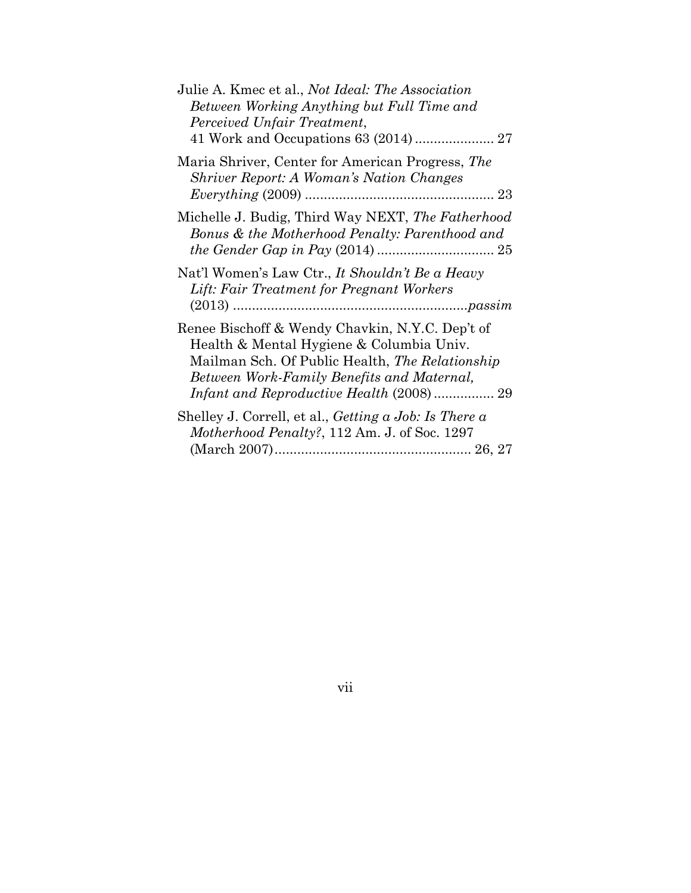| Julie A. Kmec et al., Not Ideal: The Association<br>Between Working Anything but Full Time and<br>Perceived Unfair Treatment,                                                                |
|----------------------------------------------------------------------------------------------------------------------------------------------------------------------------------------------|
| Maria Shriver, Center for American Progress, The<br><b>Shriver Report: A Woman's Nation Changes</b>                                                                                          |
| Michelle J. Budig, Third Way NEXT, The Fatherhood<br>Bonus & the Motherhood Penalty: Parenthood and                                                                                          |
| Nat'l Women's Law Ctr., It Shouldn't Be a Heavy<br>Lift: Fair Treatment for Pregnant Workers                                                                                                 |
| Renee Bischoff & Wendy Chavkin, N.Y.C. Dep't of<br>Health & Mental Hygiene & Columbia Univ.<br>Mailman Sch. Of Public Health, The Relationship<br>Between Work-Family Benefits and Maternal, |
| Shelley J. Correll, et al., Getting $a$ Job: Is There $a$<br><i>Motherhood Penalty?</i> , 112 Am. J. of Soc. 1297                                                                            |

vii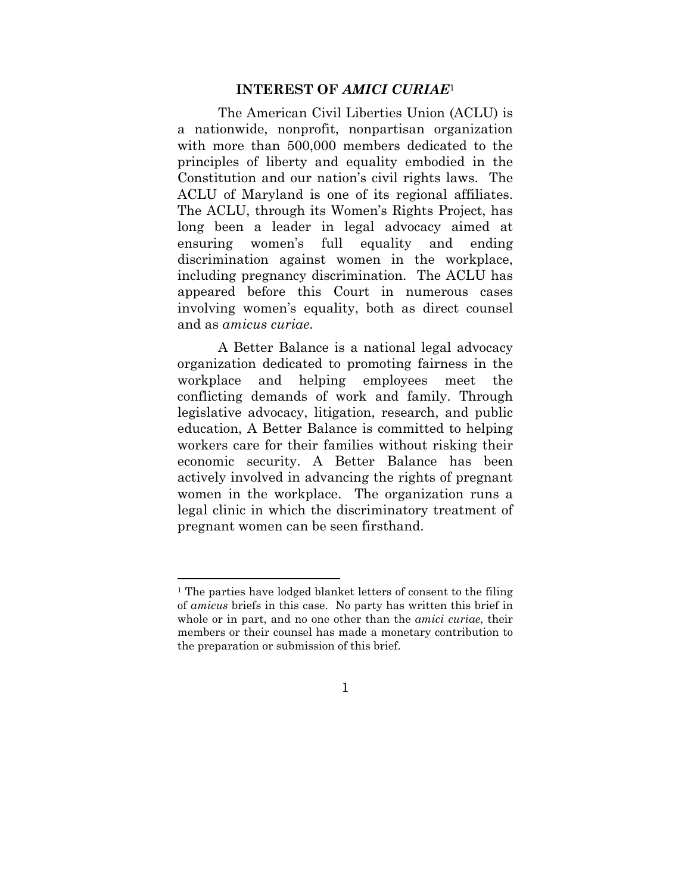#### **INTEREST OF** *AMICI CURIAE*<sup>1</sup>

The American Civil Liberties Union (ACLU) is a nationwide, nonprofit, nonpartisan organization with more than 500,000 members dedicated to the principles of liberty and equality embodied in the Constitution and our nation's civil rights laws. The ACLU of Maryland is one of its regional affiliates. The ACLU, through its Women's Rights Project, has long been a leader in legal advocacy aimed at ensuring women's full equality and ending discrimination against women in the workplace, including pregnancy discrimination. The ACLU has appeared before this Court in numerous cases involving women's equality, both as direct counsel and as *amicus curiae*.

A Better Balance is a national legal advocacy organization dedicated to promoting fairness in the workplace and helping employees meet the conflicting demands of work and family. Through legislative advocacy, litigation, research, and public education, A Better Balance is committed to helping workers care for their families without risking their economic security. A Better Balance has been actively involved in advancing the rights of pregnant women in the workplace. The organization runs a legal clinic in which the discriminatory treatment of pregnant women can be seen firsthand.

<sup>&</sup>lt;sup>1</sup> The parties have lodged blanket letters of consent to the filing of *amicus* briefs in this case. No party has written this brief in whole or in part, and no one other than the *amici curiae*, their members or their counsel has made a monetary contribution to the preparation or submission of this brief.

<sup>1</sup>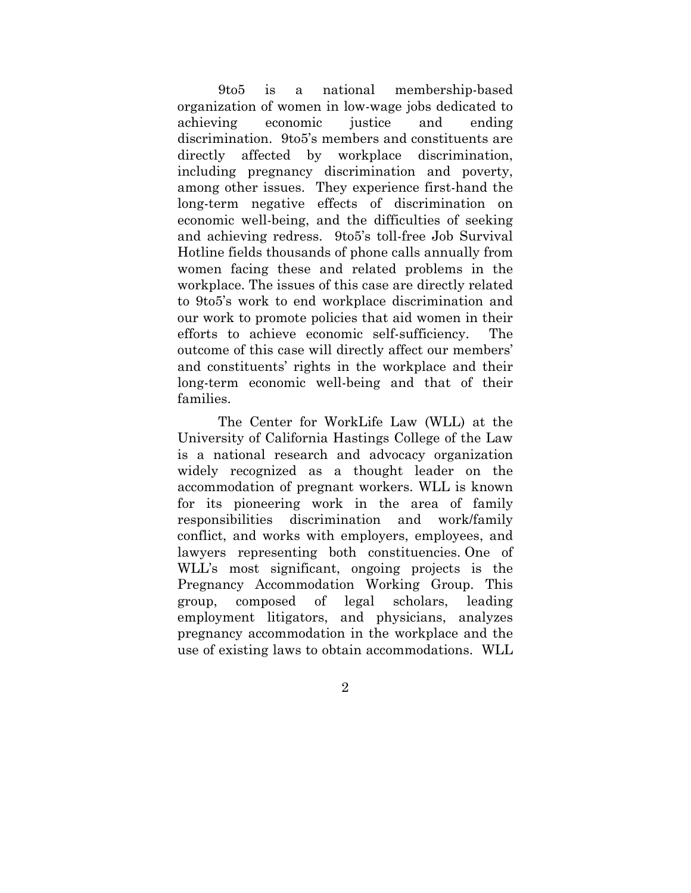9to5 is a national membership-based organization of women in low-wage jobs dedicated to achieving economic justice and ending discrimination. 9to5's members and constituents are directly affected by workplace discrimination, including pregnancy discrimination and poverty, among other issues. They experience first-hand the long-term negative effects of discrimination on economic well-being, and the difficulties of seeking and achieving redress. 9to5's toll-free Job Survival Hotline fields thousands of phone calls annually from women facing these and related problems in the workplace. The issues of this case are directly related to 9to5's work to end workplace discrimination and our work to promote policies that aid women in their efforts to achieve economic self-sufficiency. The outcome of this case will directly affect our members' and constituents' rights in the workplace and their long-term economic well-being and that of their families.

The Center for WorkLife Law (WLL) at the University of California Hastings College of the Law is a national research and advocacy organization widely recognized as a thought leader on the accommodation of pregnant workers. WLL is known for its pioneering work in the area of family responsibilities discrimination and work/family conflict, and works with employers, employees, and lawyers representing both constituencies. One of WLL's most significant, ongoing projects is the Pregnancy Accommodation Working Group. This group, composed of legal scholars, leading employment litigators, and physicians, analyzes pregnancy accommodation in the workplace and the use of existing laws to obtain accommodations. WLL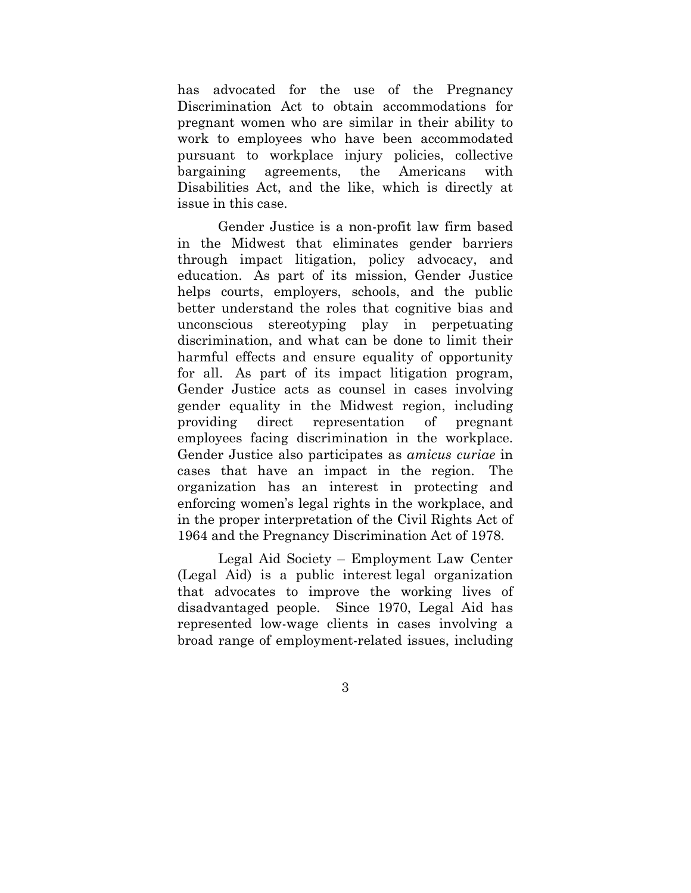has advocated for the use of the Pregnancy Discrimination Act to obtain accommodations for pregnant women who are similar in their ability to work to employees who have been accommodated pursuant to workplace injury policies, collective bargaining agreements, the Americans with Disabilities Act, and the like, which is directly at issue in this case.

Gender Justice is a non-profit law firm based in the Midwest that eliminates gender barriers through impact litigation, policy advocacy, and education. As part of its mission, Gender Justice helps courts, employers, schools, and the public better understand the roles that cognitive bias and unconscious stereotyping play in perpetuating discrimination, and what can be done to limit their harmful effects and ensure equality of opportunity for all. As part of its impact litigation program, Gender Justice acts as counsel in cases involving gender equality in the Midwest region, including providing direct representation of pregnant employees facing discrimination in the workplace. Gender Justice also participates as *amicus curiae* in cases that have an impact in the region. The organization has an interest in protecting and enforcing women's legal rights in the workplace, and in the proper interpretation of the Civil Rights Act of 1964 and the Pregnancy Discrimination Act of 1978.

Legal Aid Society – Employment Law Center (Legal Aid) is a public interest legal organization that advocates to improve the working lives of disadvantaged people. Since 1970, Legal Aid has represented low-wage clients in cases involving a broad range of employment-related issues, including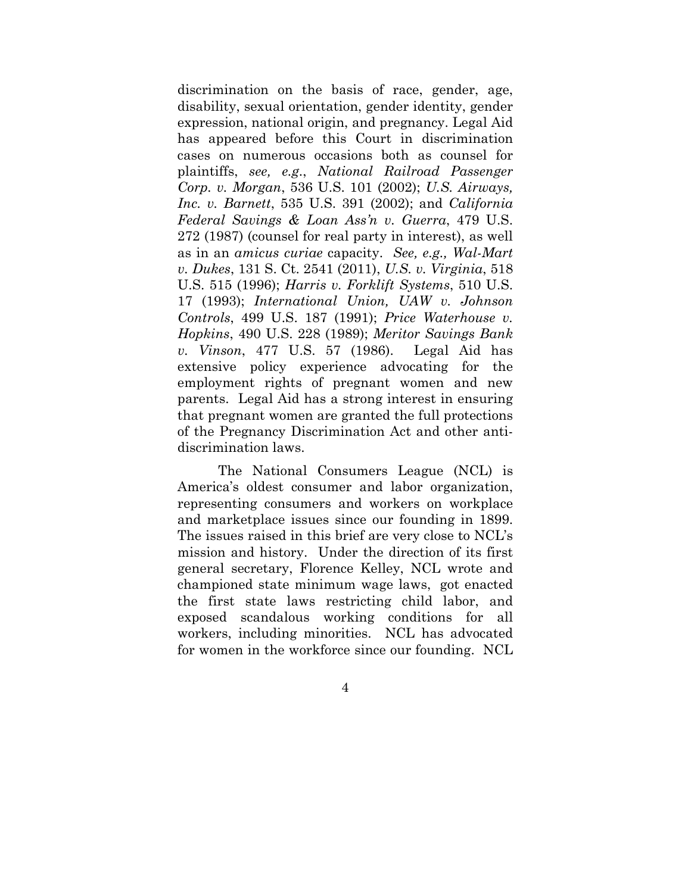discrimination on the basis of race, gender, age, disability, sexual orientation, gender identity, gender expression, national origin, and pregnancy. Legal Aid has appeared before this Court in discrimination cases on numerous occasions both as counsel for plaintiffs, *see, e.g*., *National Railroad Passenger Corp. v. Morgan*, 536 U.S. 101 (2002); *U.S. Airways, Inc. v. Barnett*, 535 U.S. 391 (2002); and *California Federal Savings & Loan Ass'n v. Guerra*, 479 U.S. 272 (1987) (counsel for real party in interest), as well as in an *amicus curiae* capacity. *See, e.g., Wal-Mart v. Dukes*, 131 S. Ct. 2541 (2011), *U.S. v. Virginia*, 518 U.S. 515 (1996); *Harris v. Forklift Systems*, 510 U.S. 17 (1993); *International Union, UAW v. Johnson Controls*, 499 U.S. 187 (1991); *Price Waterhouse v. Hopkins*, 490 U.S. 228 (1989); *Meritor Savings Bank v. Vinson*, 477 U.S. 57 (1986). Legal Aid has extensive policy experience advocating for the employment rights of pregnant women and new parents. Legal Aid has a strong interest in ensuring that pregnant women are granted the full protections of the Pregnancy Discrimination Act and other antidiscrimination laws.

The National Consumers League (NCL) is America's oldest consumer and labor organization, representing consumers and workers on workplace and marketplace issues since our founding in 1899. The issues raised in this brief are very close to NCL's mission and history. Under the direction of its first general secretary, Florence Kelley, NCL wrote and championed state minimum wage laws, got enacted the first state laws restricting child labor, and exposed scandalous working conditions for all workers, including minorities. NCL has advocated for women in the workforce since our founding. NCL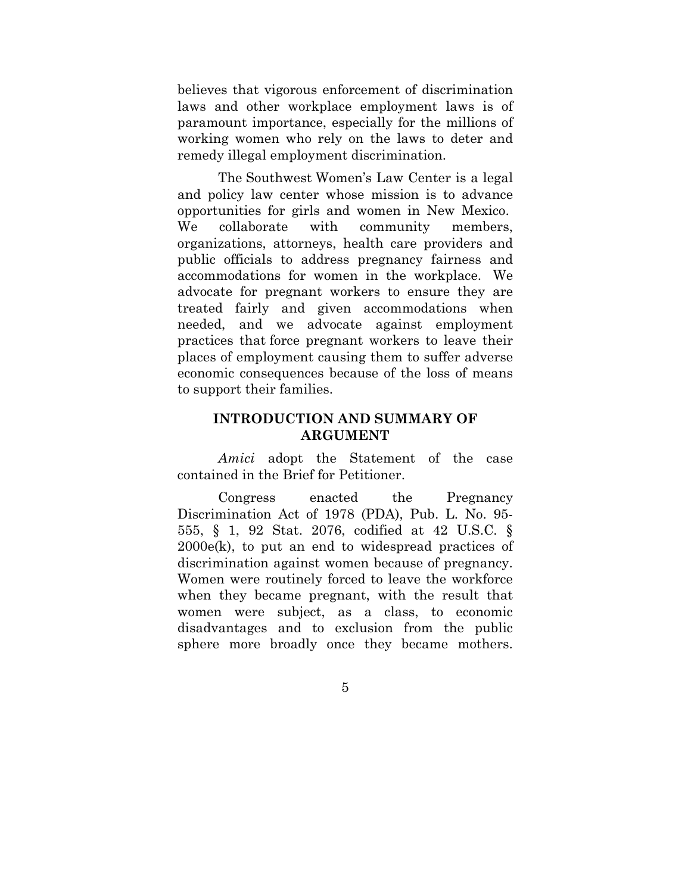believes that vigorous enforcement of discrimination laws and other workplace employment laws is of paramount importance, especially for the millions of working women who rely on the laws to deter and remedy illegal employment discrimination.

The Southwest Women's Law Center is a legal and policy law center whose mission is to advance opportunities for girls and women in New Mexico. We collaborate with community members, organizations, attorneys, health care providers and public officials to address pregnancy fairness and accommodations for women in the workplace. We advocate for pregnant workers to ensure they are treated fairly and given accommodations when needed, and we advocate against employment practices that force pregnant workers to leave their places of employment causing them to suffer adverse economic consequences because of the loss of means to support their families.

### **INTRODUCTION AND SUMMARY OF ARGUMENT**

*Amici* adopt the Statement of the case contained in the Brief for Petitioner.

Congress enacted the Pregnancy Discrimination Act of 1978 (PDA), Pub. L. No. 95- 555, § 1, 92 Stat. 2076, codified at 42 U.S.C. § 2000e(k), to put an end to widespread practices of discrimination against women because of pregnancy. Women were routinely forced to leave the workforce when they became pregnant, with the result that women were subject, as a class, to economic disadvantages and to exclusion from the public sphere more broadly once they became mothers.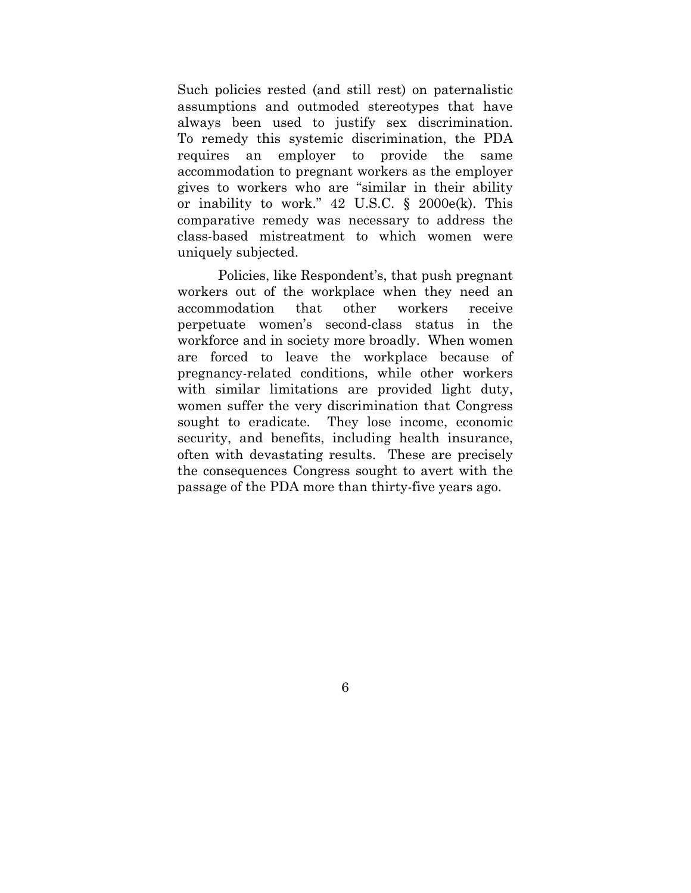Such policies rested (and still rest) on paternalistic assumptions and outmoded stereotypes that have always been used to justify sex discrimination. To remedy this systemic discrimination, the PDA requires an employer to provide the same accommodation to pregnant workers as the employer gives to workers who are "similar in their ability or inability to work." 42 U.S.C. § 2000e(k). This comparative remedy was necessary to address the class-based mistreatment to which women were uniquely subjected.

Policies, like Respondent's, that push pregnant workers out of the workplace when they need an accommodation that other workers receive perpetuate women's second-class status in the workforce and in society more broadly. When women are forced to leave the workplace because of pregnancy-related conditions, while other workers with similar limitations are provided light duty, women suffer the very discrimination that Congress sought to eradicate. They lose income, economic security, and benefits, including health insurance, often with devastating results. These are precisely the consequences Congress sought to avert with the passage of the PDA more than thirty-five years ago.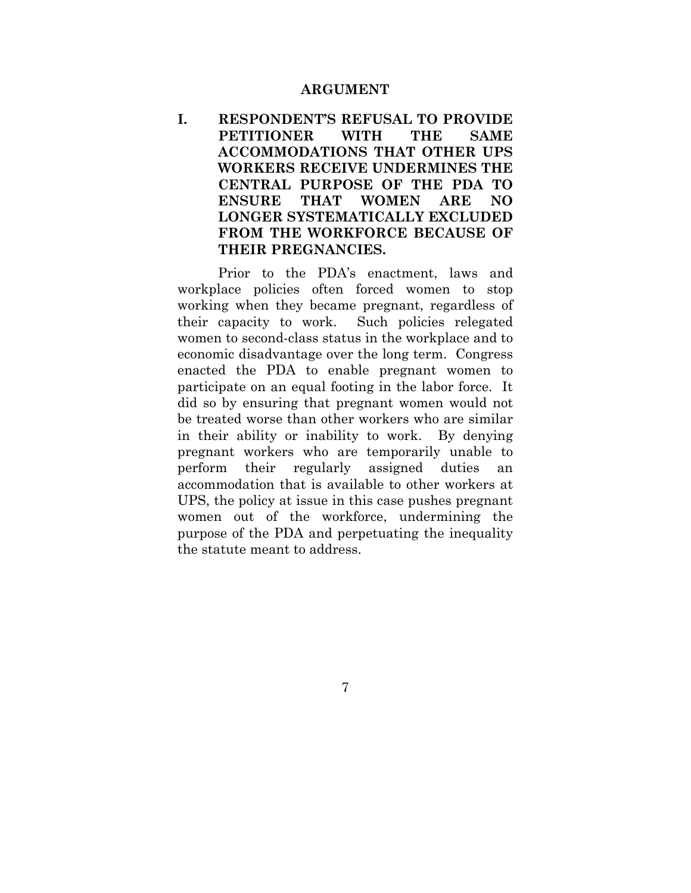#### **ARGUMENT**

# **I. RESPONDENT'S REFUSAL TO PROVIDE PETITIONER WITH THE SAME ACCOMMODATIONS THAT OTHER UPS WORKERS RECEIVE UNDERMINES THE CENTRAL PURPOSE OF THE PDA TO ENSURE THAT WOMEN ARE NO LONGER SYSTEMATICALLY EXCLUDED FROM THE WORKFORCE BECAUSE OF THEIR PREGNANCIES.**

Prior to the PDA's enactment, laws and workplace policies often forced women to stop working when they became pregnant, regardless of their capacity to work. Such policies relegated women to second-class status in the workplace and to economic disadvantage over the long term. Congress enacted the PDA to enable pregnant women to participate on an equal footing in the labor force. It did so by ensuring that pregnant women would not be treated worse than other workers who are similar in their ability or inability to work. By denying pregnant workers who are temporarily unable to perform their regularly assigned duties an accommodation that is available to other workers at UPS, the policy at issue in this case pushes pregnant women out of the workforce, undermining the purpose of the PDA and perpetuating the inequality the statute meant to address.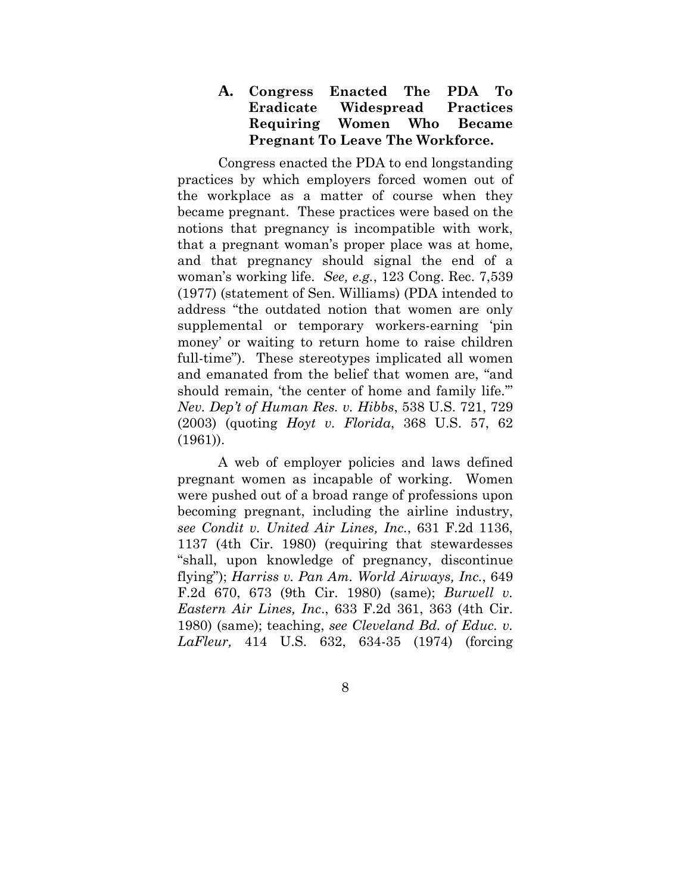# **A. Congress Enacted The PDA To Eradicate Widespread Practices Requiring Women Who Became Pregnant To Leave The Workforce.**

Congress enacted the PDA to end longstanding practices by which employers forced women out of the workplace as a matter of course when they became pregnant. These practices were based on the notions that pregnancy is incompatible with work, that a pregnant woman's proper place was at home, and that pregnancy should signal the end of a woman's working life. *See, e.g.*, 123 Cong. Rec. 7,539 (1977) (statement of Sen. Williams) (PDA intended to address "the outdated notion that women are only supplemental or temporary workers-earning 'pin money' or waiting to return home to raise children full-time"). These stereotypes implicated all women and emanated from the belief that women are, "and should remain, 'the center of home and family life.'" *Nev. Dep't of Human Res. v. Hibbs*, 538 U.S. 721, 729 (2003) (quoting *Hoyt v. Florida*, 368 U.S. 57, 62 (1961)).

A web of employer policies and laws defined pregnant women as incapable of working. Women were pushed out of a broad range of professions upon becoming pregnant, including the airline industry, *see Condit v. United Air Lines, Inc.*, 631 F.2d 1136, 1137 (4th Cir. 1980) (requiring that stewardesses "shall, upon knowledge of pregnancy, discontinue flying"); *Harriss v. Pan Am. World Airways, Inc.*, 649 F.2d 670, 673 (9th Cir. 1980) (same); *Burwell v. Eastern Air Lines, Inc*., 633 F.2d 361, 363 (4th Cir. 1980) (same); teaching, *see Cleveland Bd. of Educ. v. LaFleur,* 414 U.S. 632, 634-35 (1974) (forcing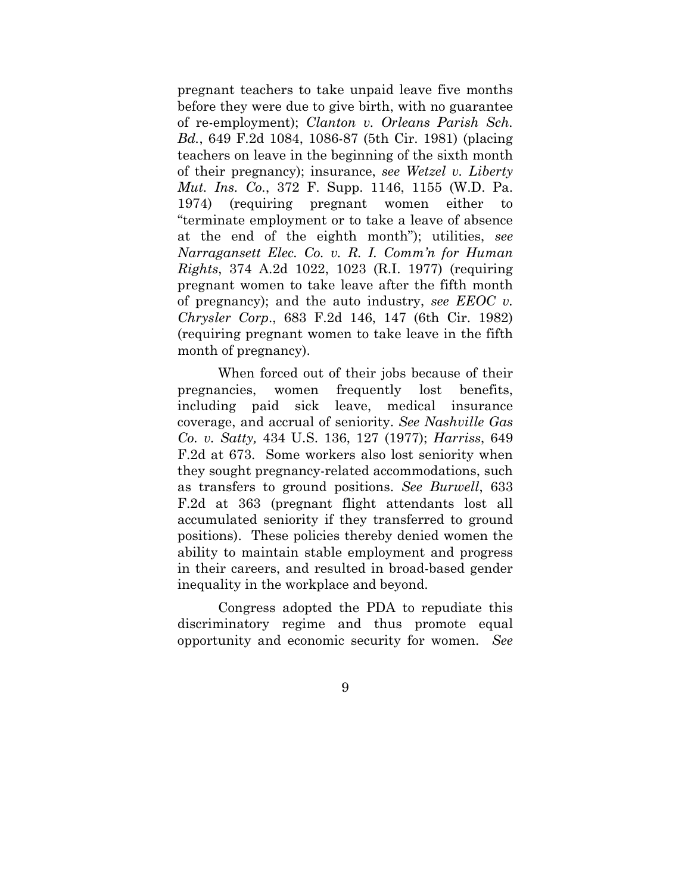pregnant teachers to take unpaid leave five months before they were due to give birth, with no guarantee of re-employment); *Clanton v. Orleans Parish Sch. Bd.*, 649 F.2d 1084, 1086-87 (5th Cir. 1981) (placing teachers on leave in the beginning of the sixth month of their pregnancy); insurance, *see Wetzel v. Liberty Mut. Ins. Co.*, 372 F. Supp. 1146, 1155 (W.D. Pa. 1974) (requiring pregnant women either to "terminate employment or to take a leave of absence at the end of the eighth month"); utilities, *see Narragansett Elec. Co. v. R. I. Comm'n for Human Rights*, 374 A.2d 1022, 1023 (R.I. 1977) (requiring pregnant women to take leave after the fifth month of pregnancy); and the auto industry, *see EEOC v. Chrysler Corp*., 683 F.2d 146, 147 (6th Cir. 1982) (requiring pregnant women to take leave in the fifth month of pregnancy).

When forced out of their jobs because of their pregnancies, women frequently lost benefits, including paid sick leave, medical insurance coverage, and accrual of seniority. *See Nashville Gas Co. v. Satty,* 434 U.S. 136, 127 (1977); *Harriss*, 649 F.2d at 673. Some workers also lost seniority when they sought pregnancy-related accommodations, such as transfers to ground positions. *See Burwell*, 633 F.2d at 363 (pregnant flight attendants lost all accumulated seniority if they transferred to ground positions). These policies thereby denied women the ability to maintain stable employment and progress in their careers, and resulted in broad-based gender inequality in the workplace and beyond.

Congress adopted the PDA to repudiate this discriminatory regime and thus promote equal opportunity and economic security for women. *See*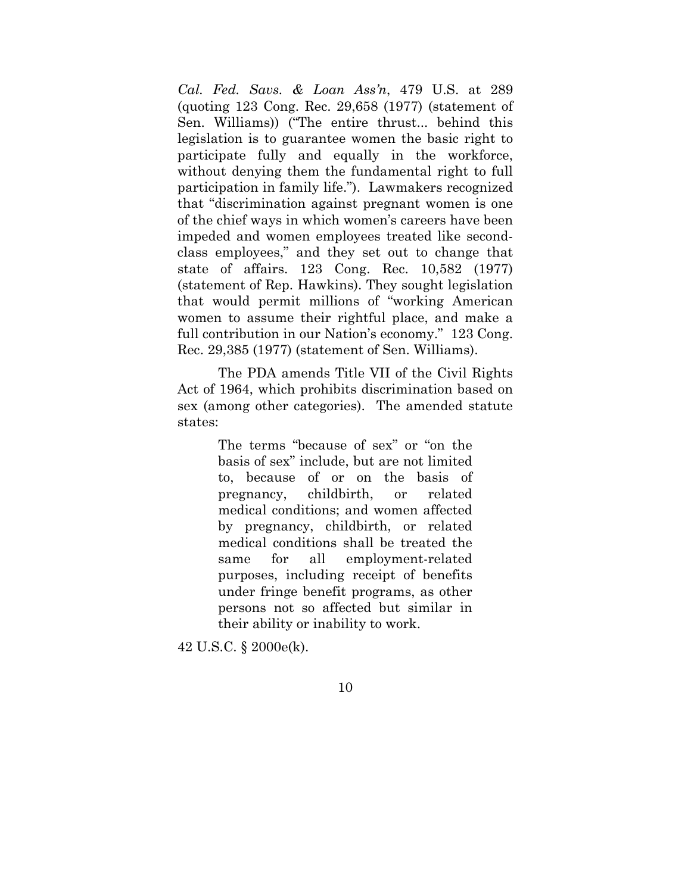*Cal. Fed. Savs. & Loan Ass'n*, 479 U.S. at 289 (quoting 123 Cong. Rec. 29,658 (1977) (statement of Sen. Williams)) ("The entire thrust... behind this legislation is to guarantee women the basic right to participate fully and equally in the workforce, without denying them the fundamental right to full participation in family life."). Lawmakers recognized that "discrimination against pregnant women is one of the chief ways in which women's careers have been impeded and women employees treated like secondclass employees," and they set out to change that state of affairs. 123 Cong. Rec. 10,582 (1977) (statement of Rep. Hawkins). They sought legislation that would permit millions of "working American women to assume their rightful place, and make a full contribution in our Nation's economy." 123 Cong. Rec. 29,385 (1977) (statement of Sen. Williams).

The PDA amends Title VII of the Civil Rights Act of 1964, which prohibits discrimination based on sex (among other categories). The amended statute states:

> The terms "because of sex" or "on the basis of sex" include, but are not limited to, because of or on the basis of pregnancy, childbirth, or related medical conditions; and women affected by pregnancy, childbirth, or related medical conditions shall be treated the same for all employment-related purposes, including receipt of benefits under fringe benefit programs, as other persons not so affected but similar in their ability or inability to work.

42 U.S.C. § 2000e(k).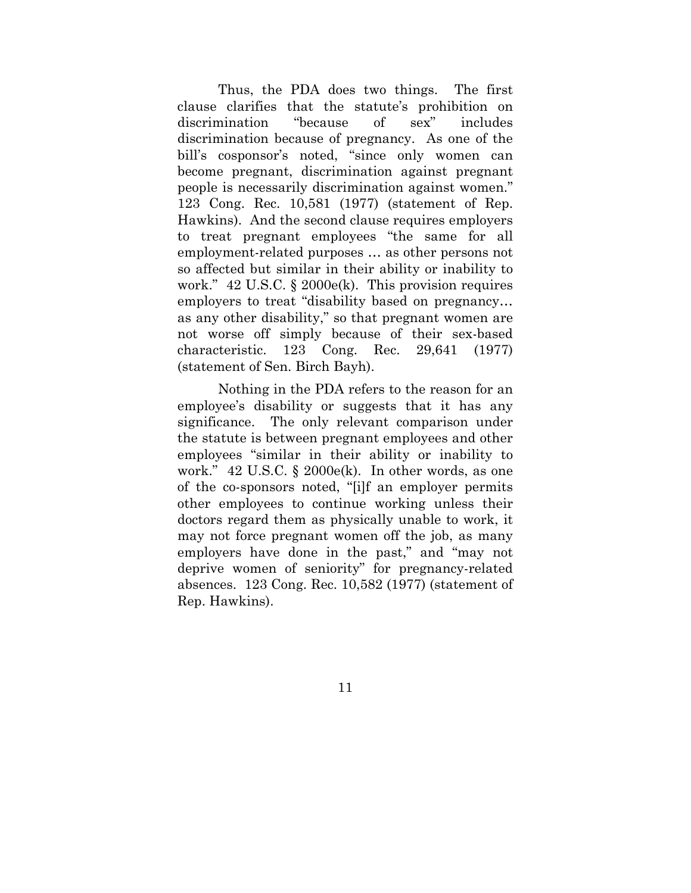Thus, the PDA does two things. The first clause clarifies that the statute's prohibition on discrimination "because of sex" includes discrimination because of pregnancy. As one of the bill's cosponsor's noted, "since only women can become pregnant, discrimination against pregnant people is necessarily discrimination against women." 123 Cong. Rec. 10,581 (1977) (statement of Rep. Hawkins). And the second clause requires employers to treat pregnant employees "the same for all employment-related purposes … as other persons not so affected but similar in their ability or inability to work." 42 U.S.C. § 2000e(k). This provision requires employers to treat "disability based on pregnancy… as any other disability," so that pregnant women are not worse off simply because of their sex-based characteristic. 123 Cong. Rec. 29,641 (1977) (statement of Sen. Birch Bayh).

Nothing in the PDA refers to the reason for an employee's disability or suggests that it has any significance. The only relevant comparison under the statute is between pregnant employees and other employees "similar in their ability or inability to work." 42 U.S.C. § 2000e(k). In other words, as one of the co-sponsors noted, "[i]f an employer permits other employees to continue working unless their doctors regard them as physically unable to work, it may not force pregnant women off the job, as many employers have done in the past," and "may not deprive women of seniority" for pregnancy-related absences. 123 Cong. Rec. 10,582 (1977) (statement of Rep. Hawkins).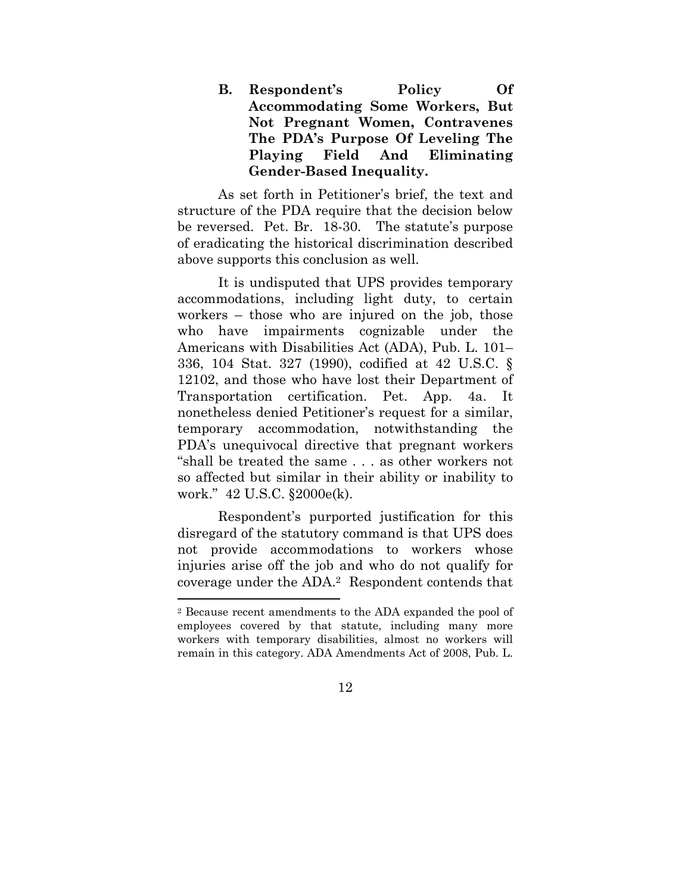**B. Respondent's Policy Of Accommodating Some Workers, But Not Pregnant Women, Contravenes The PDA's Purpose Of Leveling The Playing Field And Eliminating Gender-Based Inequality.** 

As set forth in Petitioner's brief, the text and structure of the PDA require that the decision below be reversed. Pet. Br. 18-30. The statute's purpose of eradicating the historical discrimination described above supports this conclusion as well.

It is undisputed that UPS provides temporary accommodations, including light duty, to certain workers – those who are injured on the job, those who have impairments cognizable under the Americans with Disabilities Act (ADA), Pub. L. 101– 336, 104 Stat. 327 (1990), codified at 42 U.S.C. § 12102, and those who have lost their Department of Transportation certification. Pet. App. 4a. It nonetheless denied Petitioner's request for a similar, temporary accommodation, notwithstanding the PDA's unequivocal directive that pregnant workers "shall be treated the same . . . as other workers not so affected but similar in their ability or inability to work." 42 U.S.C. §2000e(k).

Respondent's purported justification for this disregard of the statutory command is that UPS does not provide accommodations to workers whose injuries arise off the job and who do not qualify for coverage under the ADA.2 Respondent contends that

<sup>2</sup> Because recent amendments to the ADA expanded the pool of employees covered by that statute, including many more workers with temporary disabilities, almost no workers will remain in this category. ADA Amendments Act of 2008, Pub. L.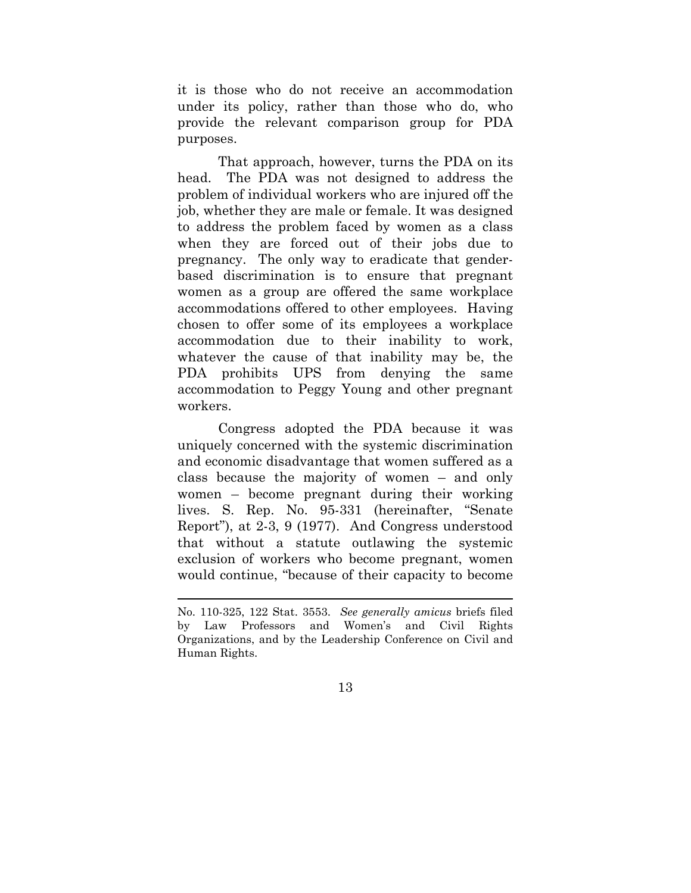it is those who do not receive an accommodation under its policy, rather than those who do, who provide the relevant comparison group for PDA purposes.

That approach, however, turns the PDA on its head. The PDA was not designed to address the problem of individual workers who are injured off the job, whether they are male or female. It was designed to address the problem faced by women as a class when they are forced out of their jobs due to pregnancy. The only way to eradicate that genderbased discrimination is to ensure that pregnant women as a group are offered the same workplace accommodations offered to other employees. Having chosen to offer some of its employees a workplace accommodation due to their inability to work, whatever the cause of that inability may be, the PDA prohibits UPS from denying the same accommodation to Peggy Young and other pregnant workers.

Congress adopted the PDA because it was uniquely concerned with the systemic discrimination and economic disadvantage that women suffered as a class because the majority of women – and only women – become pregnant during their working lives. S. Rep. No. 95-331 (hereinafter, "Senate Report"), at 2-3, 9 (1977). And Congress understood that without a statute outlawing the systemic exclusion of workers who become pregnant, women would continue, "because of their capacity to become

<u> 1989 - Johann Stein, marwolaethau a bhann an t-Amhain Aonaichte ann an t-Amhain Aonaichte ann an t-Amhain Aon</u>

No. 110-325, 122 Stat. 3553. *See generally amicus* briefs filed by Law Professors and Women's and Civil Rights Organizations, and by the Leadership Conference on Civil and Human Rights.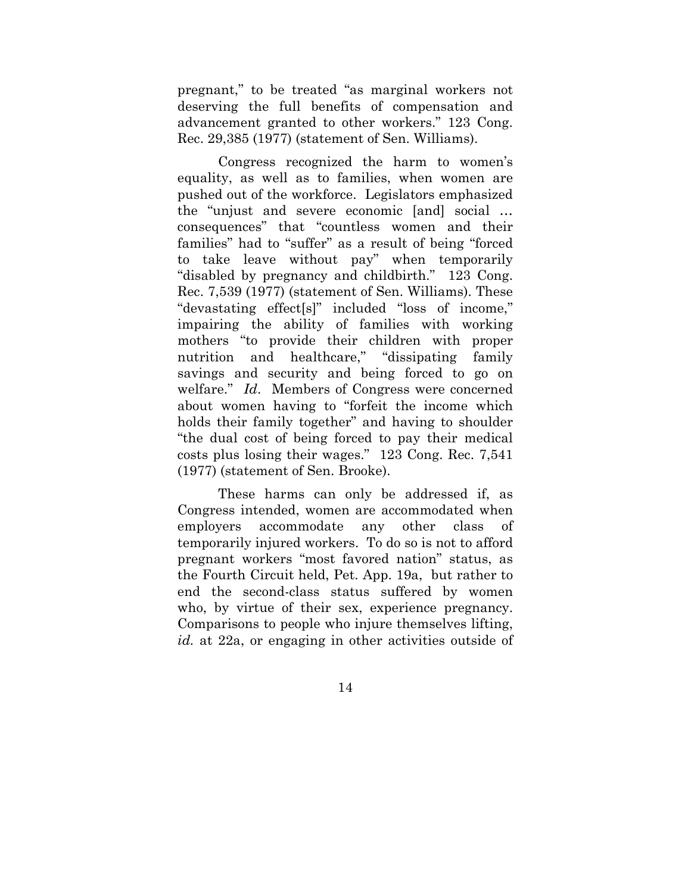pregnant," to be treated "as marginal workers not deserving the full benefits of compensation and advancement granted to other workers." 123 Cong. Rec. 29,385 (1977) (statement of Sen. Williams).

Congress recognized the harm to women's equality, as well as to families, when women are pushed out of the workforce. Legislators emphasized the "unjust and severe economic [and] social … consequences" that "countless women and their families" had to "suffer" as a result of being "forced to take leave without pay" when temporarily "disabled by pregnancy and childbirth." 123 Cong. Rec. 7,539 (1977) (statement of Sen. Williams). These "devastating effect[s]" included "loss of income," impairing the ability of families with working mothers "to provide their children with proper nutrition and healthcare," "dissipating family savings and security and being forced to go on welfare." *Id*. Members of Congress were concerned about women having to "forfeit the income which holds their family together" and having to shoulder "the dual cost of being forced to pay their medical costs plus losing their wages." 123 Cong. Rec. 7,541 (1977) (statement of Sen. Brooke).

These harms can only be addressed if, as Congress intended, women are accommodated when employers accommodate any other class of temporarily injured workers. To do so is not to afford pregnant workers "most favored nation" status, as the Fourth Circuit held, Pet. App. 19a, but rather to end the second-class status suffered by women who, by virtue of their sex, experience pregnancy. Comparisons to people who injure themselves lifting, *id.* at 22a, or engaging in other activities outside of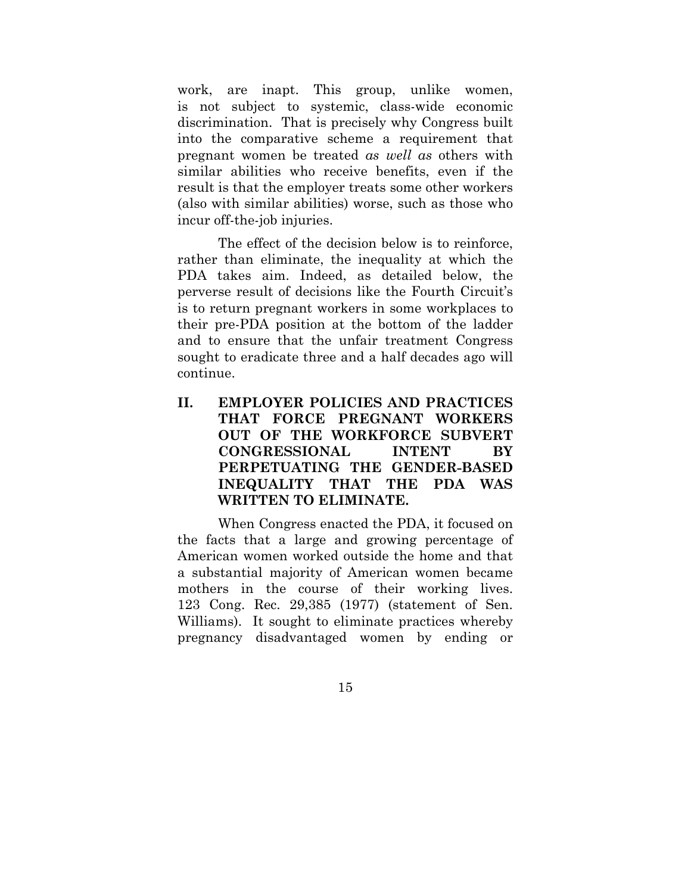work, are inapt. This group, unlike women, is not subject to systemic, class-wide economic discrimination. That is precisely why Congress built into the comparative scheme a requirement that pregnant women be treated *as well as* others with similar abilities who receive benefits, even if the result is that the employer treats some other workers (also with similar abilities) worse, such as those who incur off-the-job injuries.

The effect of the decision below is to reinforce, rather than eliminate, the inequality at which the PDA takes aim. Indeed, as detailed below, the perverse result of decisions like the Fourth Circuit's is to return pregnant workers in some workplaces to their pre-PDA position at the bottom of the ladder and to ensure that the unfair treatment Congress sought to eradicate three and a half decades ago will continue.

**II. EMPLOYER POLICIES AND PRACTICES THAT FORCE PREGNANT WORKERS OUT OF THE WORKFORCE SUBVERT CONGRESSIONAL INTENT BY PERPETUATING THE GENDER-BASED INEQUALITY THAT THE PDA WAS WRITTEN TO ELIMINATE.** 

When Congress enacted the PDA, it focused on the facts that a large and growing percentage of American women worked outside the home and that a substantial majority of American women became mothers in the course of their working lives. 123 Cong. Rec. 29,385 (1977) (statement of Sen. Williams). It sought to eliminate practices whereby pregnancy disadvantaged women by ending or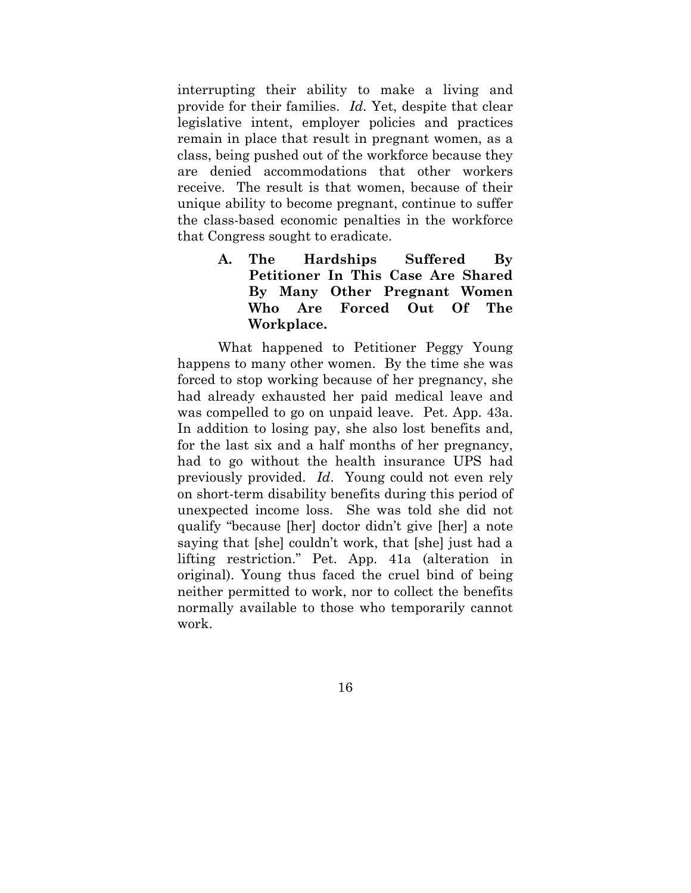interrupting their ability to make a living and provide for their families. *Id.* Yet, despite that clear legislative intent, employer policies and practices remain in place that result in pregnant women, as a class, being pushed out of the workforce because they are denied accommodations that other workers receive. The result is that women, because of their unique ability to become pregnant, continue to suffer the class-based economic penalties in the workforce that Congress sought to eradicate.

> **A. The Hardships Suffered By Petitioner In This Case Are Shared By Many Other Pregnant Women Who Are Forced Out Of The Workplace.**

What happened to Petitioner Peggy Young happens to many other women. By the time she was forced to stop working because of her pregnancy, she had already exhausted her paid medical leave and was compelled to go on unpaid leave. Pet. App. 43a. In addition to losing pay, she also lost benefits and, for the last six and a half months of her pregnancy, had to go without the health insurance UPS had previously provided. *Id*. Young could not even rely on short-term disability benefits during this period of unexpected income loss. She was told she did not qualify "because [her] doctor didn't give [her] a note saying that [she] couldn't work, that [she] just had a lifting restriction." Pet. App*.* 41a (alteration in original). Young thus faced the cruel bind of being neither permitted to work, nor to collect the benefits normally available to those who temporarily cannot work.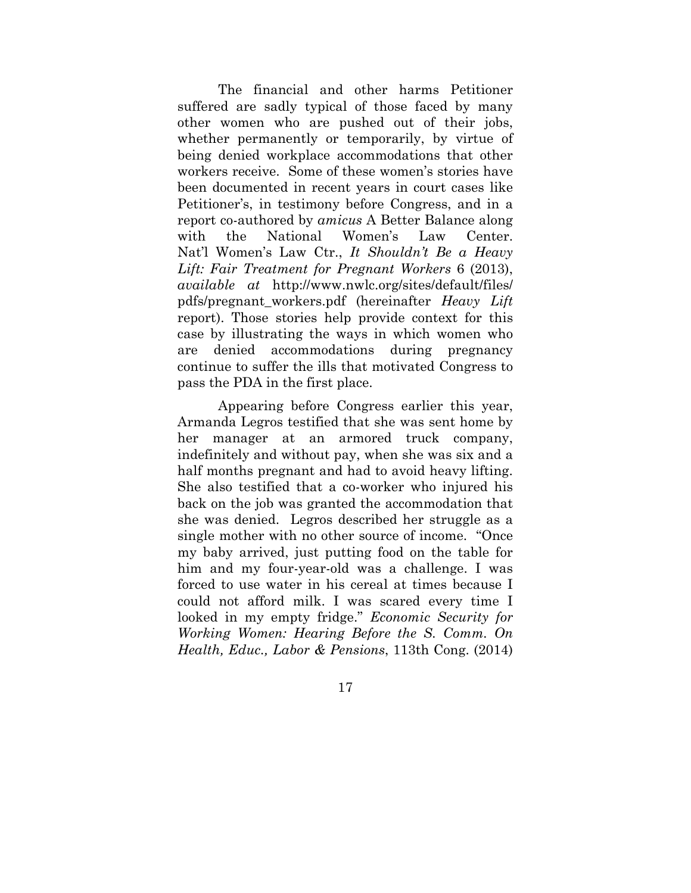The financial and other harms Petitioner suffered are sadly typical of those faced by many other women who are pushed out of their jobs, whether permanently or temporarily, by virtue of being denied workplace accommodations that other workers receive. Some of these women's stories have been documented in recent years in court cases like Petitioner's, in testimony before Congress, and in a report co-authored by *amicus* A Better Balance along with the National Women's Law Center. Nat'l Women's Law Ctr., *It Shouldn't Be a Heavy Lift: Fair Treatment for Pregnant Workers* 6 (2013), *available at* http://www.nwlc.org/sites/default/files/ pdfs/pregnant\_workers.pdf (hereinafter *Heavy Lift* report). Those stories help provide context for this case by illustrating the ways in which women who are denied accommodations during pregnancy continue to suffer the ills that motivated Congress to pass the PDA in the first place.

Appearing before Congress earlier this year, Armanda Legros testified that she was sent home by her manager at an armored truck company, indefinitely and without pay, when she was six and a half months pregnant and had to avoid heavy lifting. She also testified that a co-worker who injured his back on the job was granted the accommodation that she was denied. Legros described her struggle as a single mother with no other source of income. "Once my baby arrived, just putting food on the table for him and my four-year-old was a challenge. I was forced to use water in his cereal at times because I could not afford milk. I was scared every time I looked in my empty fridge." *Economic Security for Working Women: Hearing Before the S. Comm. On Health, Educ., Labor & Pensions*, 113th Cong. (2014)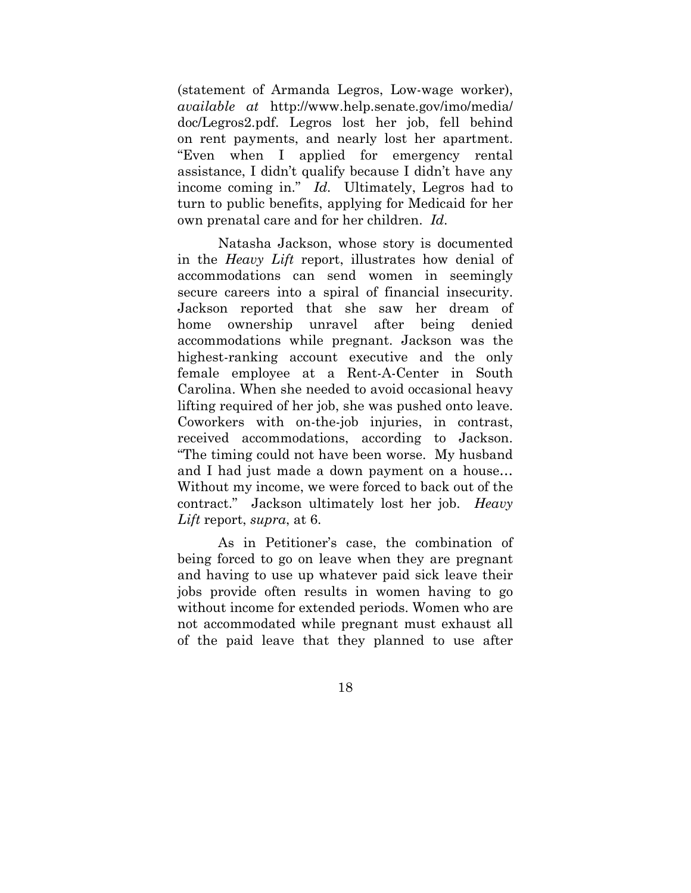(statement of Armanda Legros, Low-wage worker), *available at* http://www.help.senate.gov/imo/media/ doc/Legros2.pdf. Legros lost her job, fell behind on rent payments, and nearly lost her apartment. "Even when I applied for emergency rental assistance, I didn't qualify because I didn't have any income coming in." *Id.* Ultimately, Legros had to turn to public benefits, applying for Medicaid for her own prenatal care and for her children. *Id*.

Natasha Jackson, whose story is documented in the *Heavy Lift* report, illustrates how denial of accommodations can send women in seemingly secure careers into a spiral of financial insecurity. Jackson reported that she saw her dream of home ownership unravel after being denied accommodations while pregnant. Jackson was the highest-ranking account executive and the only female employee at a Rent-A-Center in South Carolina. When she needed to avoid occasional heavy lifting required of her job, she was pushed onto leave. Coworkers with on-the-job injuries, in contrast, received accommodations, according to Jackson. "The timing could not have been worse. My husband and I had just made a down payment on a house… Without my income, we were forced to back out of the contract." Jackson ultimately lost her job. *Heavy Lift* report, *supra*, at 6.

As in Petitioner's case, the combination of being forced to go on leave when they are pregnant and having to use up whatever paid sick leave their jobs provide often results in women having to go without income for extended periods. Women who are not accommodated while pregnant must exhaust all of the paid leave that they planned to use after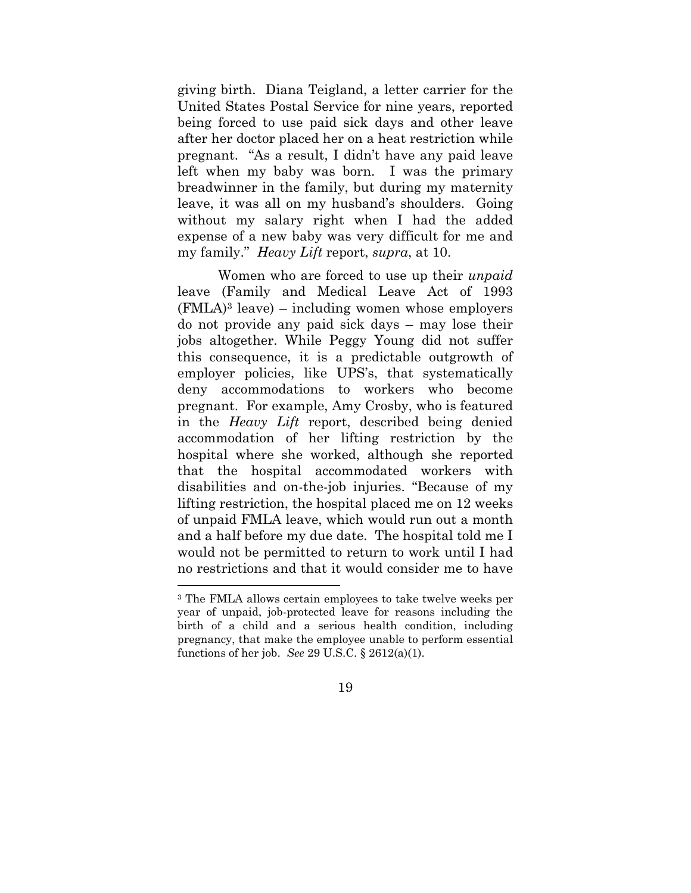giving birth. Diana Teigland, a letter carrier for the United States Postal Service for nine years, reported being forced to use paid sick days and other leave after her doctor placed her on a heat restriction while pregnant. "As a result, I didn't have any paid leave left when my baby was born. I was the primary breadwinner in the family, but during my maternity leave, it was all on my husband's shoulders. Going without my salary right when I had the added expense of a new baby was very difficult for me and my family." *Heavy Lift* report, *supra*, at 10.

Women who are forced to use up their *unpaid*  leave (Family and Medical Leave Act of 1993  $(FMLA)^3$  leave) – including women whose employers do not provide any paid sick days – may lose their jobs altogether. While Peggy Young did not suffer this consequence, it is a predictable outgrowth of employer policies, like UPS's, that systematically deny accommodations to workers who become pregnant. For example, Amy Crosby, who is featured in the *Heavy Lift* report, described being denied accommodation of her lifting restriction by the hospital where she worked, although she reported that the hospital accommodated workers with disabilities and on-the-job injuries. "Because of my lifting restriction, the hospital placed me on 12 weeks of unpaid FMLA leave, which would run out a month and a half before my due date. The hospital told me I would not be permitted to return to work until I had no restrictions and that it would consider me to have

<sup>3</sup> The FMLA allows certain employees to take twelve weeks per year of unpaid, job-protected leave for reasons including the birth of a child and a serious health condition, including pregnancy, that make the employee unable to perform essential functions of her job. *See* 29 U.S.C. § 2612(a)(1).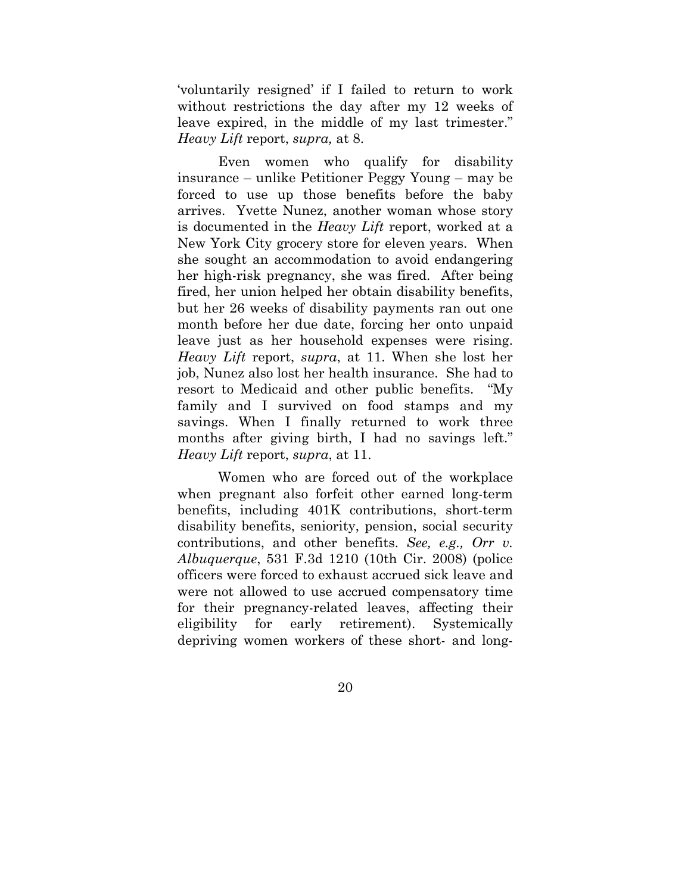'voluntarily resigned' if I failed to return to work without restrictions the day after my 12 weeks of leave expired, in the middle of my last trimester." *Heavy Lift* report, *supra,* at 8.

Even women who qualify for disability insurance – unlike Petitioner Peggy Young – may be forced to use up those benefits before the baby arrives. Yvette Nunez, another woman whose story is documented in the *Heavy Lift* report, worked at a New York City grocery store for eleven years. When she sought an accommodation to avoid endangering her high-risk pregnancy, she was fired. After being fired, her union helped her obtain disability benefits, but her 26 weeks of disability payments ran out one month before her due date, forcing her onto unpaid leave just as her household expenses were rising. *Heavy Lift* report, *supra*, at 11. When she lost her job, Nunez also lost her health insurance. She had to resort to Medicaid and other public benefits. "My family and I survived on food stamps and my savings. When I finally returned to work three months after giving birth, I had no savings left." *Heavy Lift* report, *supra*, at 11.

Women who are forced out of the workplace when pregnant also forfeit other earned long-term benefits, including 401K contributions, short-term disability benefits, seniority, pension, social security contributions, and other benefits. *See, e.g., Orr v. Albuquerque*, 531 F.3d 1210 (10th Cir. 2008) (police officers were forced to exhaust accrued sick leave and were not allowed to use accrued compensatory time for their pregnancy-related leaves, affecting their eligibility for early retirement). Systemically depriving women workers of these short- and long-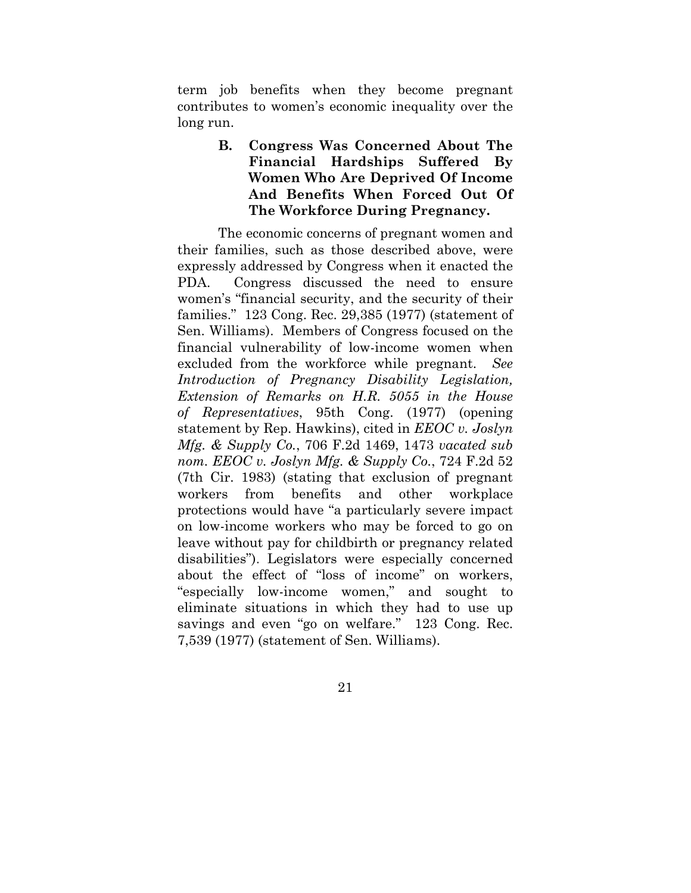term job benefits when they become pregnant contributes to women's economic inequality over the long run.

> **B. Congress Was Concerned About The Financial Hardships Suffered By Women Who Are Deprived Of Income And Benefits When Forced Out Of The Workforce During Pregnancy.**

The economic concerns of pregnant women and their families, such as those described above, were expressly addressed by Congress when it enacted the PDA. Congress discussed the need to ensure women's "financial security, and the security of their families." 123 Cong. Rec. 29,385 (1977) (statement of Sen. Williams). Members of Congress focused on the financial vulnerability of low-income women when excluded from the workforce while pregnant. *See Introduction of Pregnancy Disability Legislation, Extension of Remarks on H.R. 5055 in the House of Representatives*, 95th Cong. (1977) (opening statement by Rep. Hawkins), cited in *EEOC v. Joslyn Mfg. & Supply Co.*, 706 F.2d 1469, 1473 *vacated sub nom. EEOC v. Joslyn Mfg. & Supply Co.*, 724 F.2d 52 (7th Cir. 1983) (stating that exclusion of pregnant workers from benefits and other workplace protections would have "a particularly severe impact on low-income workers who may be forced to go on leave without pay for childbirth or pregnancy related disabilities"). Legislators were especially concerned about the effect of "loss of income" on workers, "especially low-income women," and sought to eliminate situations in which they had to use up savings and even "go on welfare." 123 Cong. Rec. 7,539 (1977) (statement of Sen. Williams).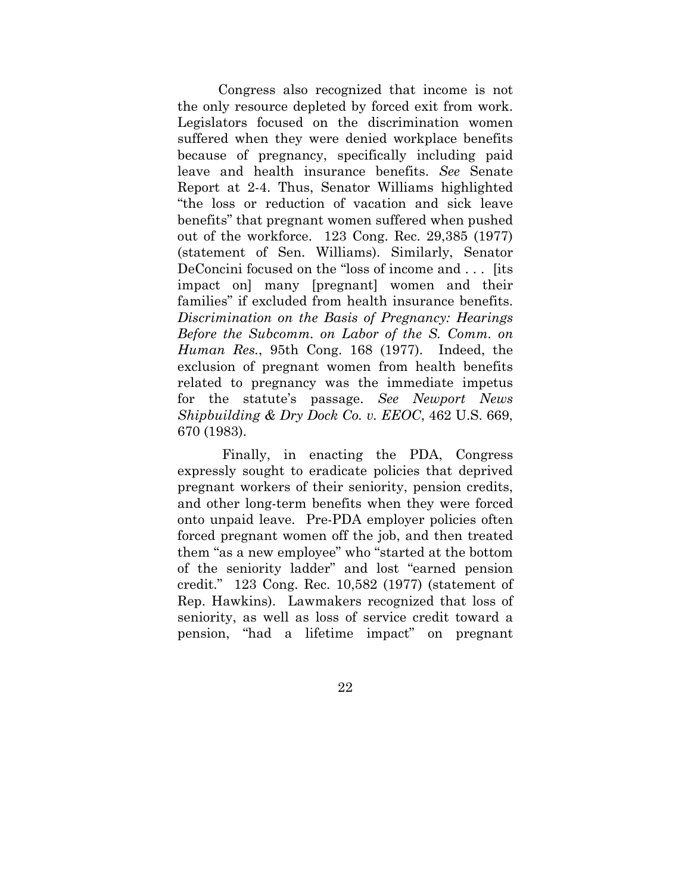Congress also recognized that income is not the only resource depleted by forced exit from work. Legislators focused on the discrimination women suffered when they were denied workplace benefits because of pregnancy, specifically including paid leave and health insurance benefits. *See* Senate Report at 2-4. Thus, Senator Williams highlighted "the loss or reduction of vacation and sick leave benefits" that pregnant women suffered when pushed out of the workforce. 123 Cong. Rec. 29,385 (1977) (statement of Sen. Williams). Similarly, Senator DeConcini focused on the "loss of income and . . . [its impact on] many [pregnant] women and their families" if excluded from health insurance benefits. *Discrimination on the Basis of Pregnancy: Hearings Before the Subcomm. on Labor of the S. Comm. on Human Res.*, 95th Cong. 168 (1977). Indeed, the exclusion of pregnant women from health benefits related to pregnancy was the immediate impetus for the statute's passage. *See Newport News Shipbuilding & Dry Dock Co. v. EEOC*, 462 U.S. 669, 670 (1983).

 Finally, in enacting the PDA, Congress expressly sought to eradicate policies that deprived pregnant workers of their seniority, pension credits, and other long-term benefits when they were forced onto unpaid leave. Pre-PDA employer policies often forced pregnant women off the job, and then treated them "as a new employee" who "started at the bottom of the seniority ladder" and lost "earned pension credit." 123 Cong. Rec. 10,582 (1977) (statement of Rep. Hawkins). Lawmakers recognized that loss of seniority, as well as loss of service credit toward a pension, "had a lifetime impact" on pregnant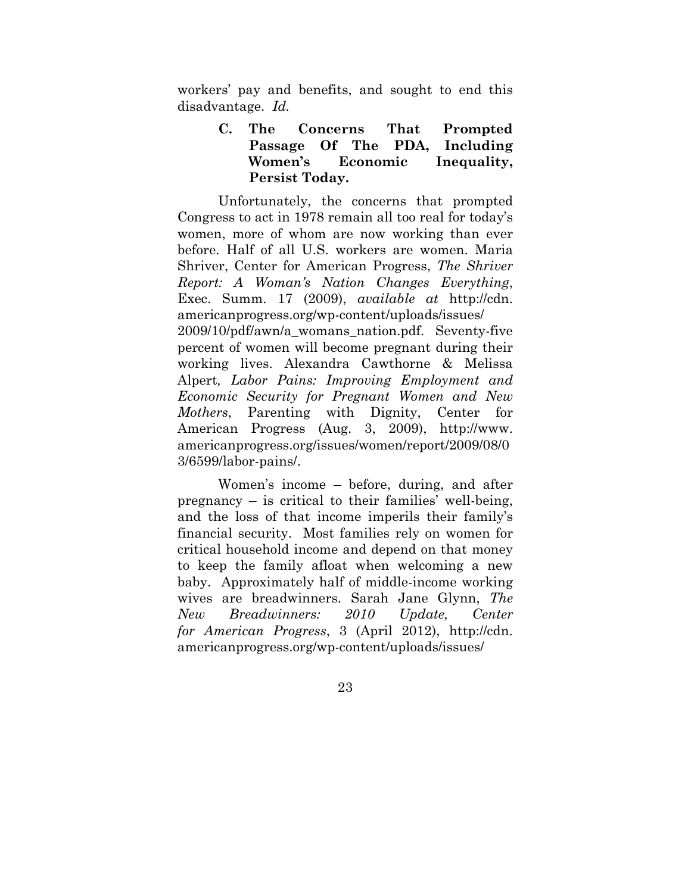workers' pay and benefits, and sought to end this disadvantage. *Id.*

## **C. The Concerns That Prompted Passage Of The PDA, Including Women's Economic Inequality, Persist Today.**

Unfortunately, the concerns that prompted Congress to act in 1978 remain all too real for today's women, more of whom are now working than ever before. Half of all U.S. workers are women. Maria Shriver, Center for American Progress, *The Shriver Report: A Woman's Nation Changes Everything*, Exec. Summ. 17 (2009), *available at* http://cdn. americanprogress.org/wp-content/uploads/issues/ 2009/10/pdf/awn/a\_womans\_nation.pdf. Seventy-five percent of women will become pregnant during their working lives. Alexandra Cawthorne & Melissa Alpert*, Labor Pains: Improving Employment and Economic Security for Pregnant Women and New Mothers*, Parenting with Dignity, Center for

American Progress (Aug. 3, 2009), http://www. americanprogress.org/issues/women/report/2009/08/0 3/6599/labor-pains/.

Women's income – before, during, and after pregnancy – is critical to their families' well-being, and the loss of that income imperils their family's financial security. Most families rely on women for critical household income and depend on that money to keep the family afloat when welcoming a new baby. Approximately half of middle-income working wives are breadwinners. Sarah Jane Glynn, *The New Breadwinners: 2010 Update, Center for American Progress*, 3 (April 2012), http://cdn. americanprogress.org/wp-content/uploads/issues/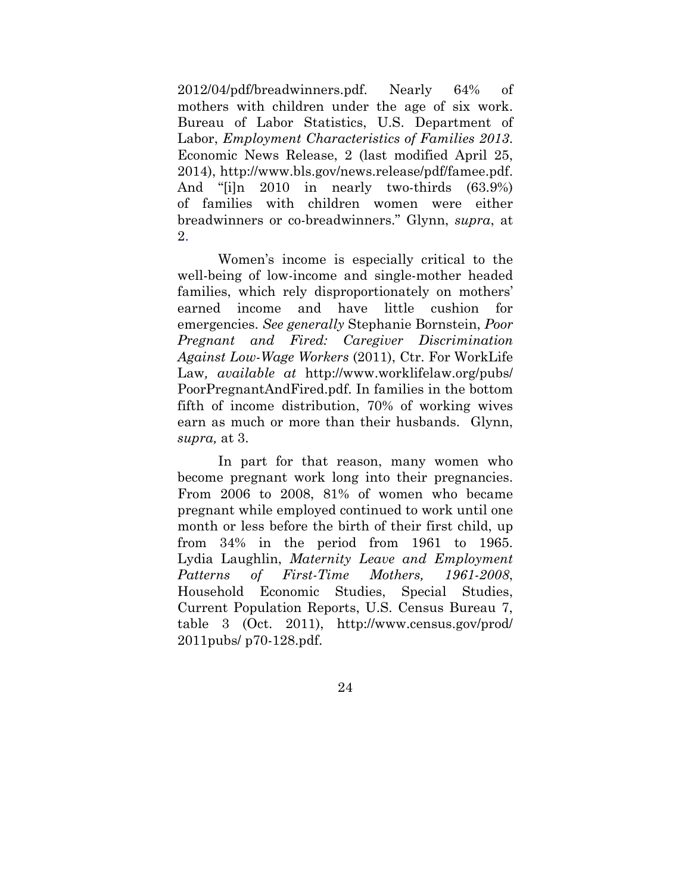2012/04/pdf/breadwinners.pdf. Nearly 64% of mothers with children under the age of six work. Bureau of Labor Statistics, U.S. Department of Labor, *Employment Characteristics of Families 2013*. Economic News Release, 2 (last modified April 25, 2014), http://www.bls.gov/news.release/pdf/famee.pdf. And "[i]n 2010 in nearly two-thirds (63.9%) of families with children women were either breadwinners or co-breadwinners." Glynn, *supra*, at 2.

Women's income is especially critical to the well-being of low-income and single-mother headed families, which rely disproportionately on mothers' earned income and have little cushion for emergencies. *See generally* Stephanie Bornstein, *Poor Pregnant and Fired: Caregiver Discrimination Against Low-Wage Workers* (2011), Ctr. For WorkLife Law*, available at* http://www.worklifelaw.org/pubs/ PoorPregnantAndFired.pdf. In families in the bottom fifth of income distribution, 70% of working wives earn as much or more than their husbands. Glynn, *supra,* at 3.

In part for that reason, many women who become pregnant work long into their pregnancies. From 2006 to 2008, 81% of women who became pregnant while employed continued to work until one month or less before the birth of their first child, up from 34% in the period from 1961 to 1965. Lydia Laughlin, *Maternity Leave and Employment Patterns of First-Time Mothers, 1961-2008*, Household Economic Studies, Special Studies, Current Population Reports, U.S. Census Bureau 7, table 3 (Oct. 2011), http://www.census.gov/prod/ 2011pubs/ p70-128.pdf.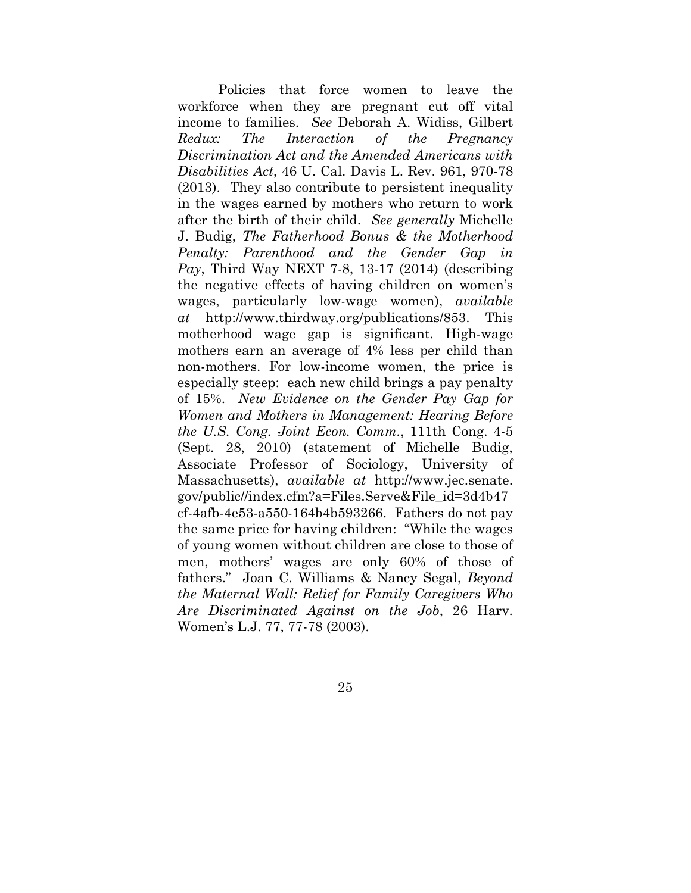Policies that force women to leave the workforce when they are pregnant cut off vital income to families. *See* Deborah A. Widiss, Gilbert *Redux: The Interaction of the Pregnancy Discrimination Act and the Amended Americans with Disabilities Act*, 46 U. Cal. Davis L. Rev. 961, 970-78 (2013).They also contribute to persistent inequality in the wages earned by mothers who return to work after the birth of their child. *See generally* Michelle J. Budig, *The Fatherhood Bonus & the Motherhood Penalty: Parenthood and the Gender Gap in Pay*, Third Way NEXT 7-8, 13-17 (2014) (describing the negative effects of having children on women's wages, particularly low-wage women), *available at* http://www.thirdway.org/publications/853. This motherhood wage gap is significant. High-wage mothers earn an average of 4% less per child than non-mothers. For low-income women, the price is especially steep: each new child brings a pay penalty of 15%. *New Evidence on the Gender Pay Gap for Women and Mothers in Management: Hearing Before the U.S. Cong. Joint Econ. Comm.*, 111th Cong. 4-5 (Sept. 28, 2010) (statement of Michelle Budig, Associate Professor of Sociology, University of Massachusetts), *available at* http://www.jec.senate. gov/public//index.cfm?a=Files.Serve&File\_id=3d4b47 cf-4afb-4e53-a550-164b4b593266. Fathers do not pay the same price for having children: "While the wages of young women without children are close to those of men, mothers' wages are only 60% of those of fathers." Joan C. Williams & Nancy Segal, *Beyond the Maternal Wall: Relief for Family Caregivers Who Are Discriminated Against on the Job*, 26 Harv. Women's L.J. 77, 77-78 (2003).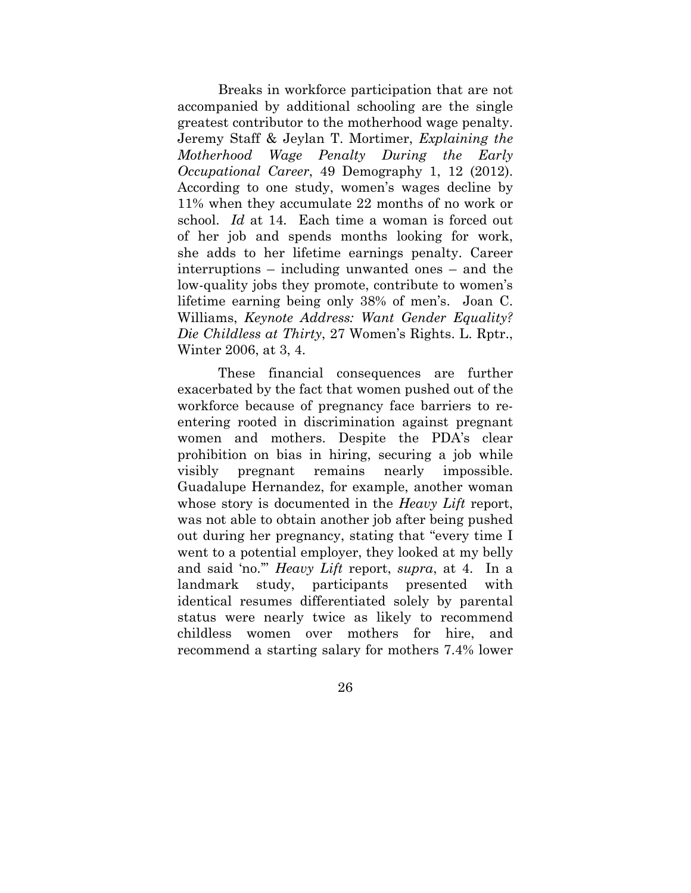Breaks in workforce participation that are not accompanied by additional schooling are the single greatest contributor to the motherhood wage penalty. Jeremy Staff & Jeylan T. Mortimer, *Explaining the Motherhood Wage Penalty During the Early Occupational Career*, 49 Demography 1, 12 (2012). According to one study, women's wages decline by 11% when they accumulate 22 months of no work or school. *Id* at 14*.* Each time a woman is forced out of her job and spends months looking for work, she adds to her lifetime earnings penalty. Career interruptions – including unwanted ones – and the low-quality jobs they promote, contribute to women's lifetime earning being only 38% of men's. Joan C. Williams, *Keynote Address: Want Gender Equality? Die Childless at Thirty*, 27 Women's Rights. L. Rptr., Winter 2006, at 3, 4.

These financial consequences are further exacerbated by the fact that women pushed out of the workforce because of pregnancy face barriers to reentering rooted in discrimination against pregnant women and mothers. Despite the PDA's clear prohibition on bias in hiring, securing a job while visibly pregnant remains nearly impossible. Guadalupe Hernandez, for example, another woman whose story is documented in the *Heavy Lift* report, was not able to obtain another job after being pushed out during her pregnancy, stating that "every time I went to a potential employer, they looked at my belly and said 'no.'" *Heavy Lift* report, *supra*, at 4. In a landmark study, participants presented with identical resumes differentiated solely by parental status were nearly twice as likely to recommend childless women over mothers for hire, and recommend a starting salary for mothers 7.4% lower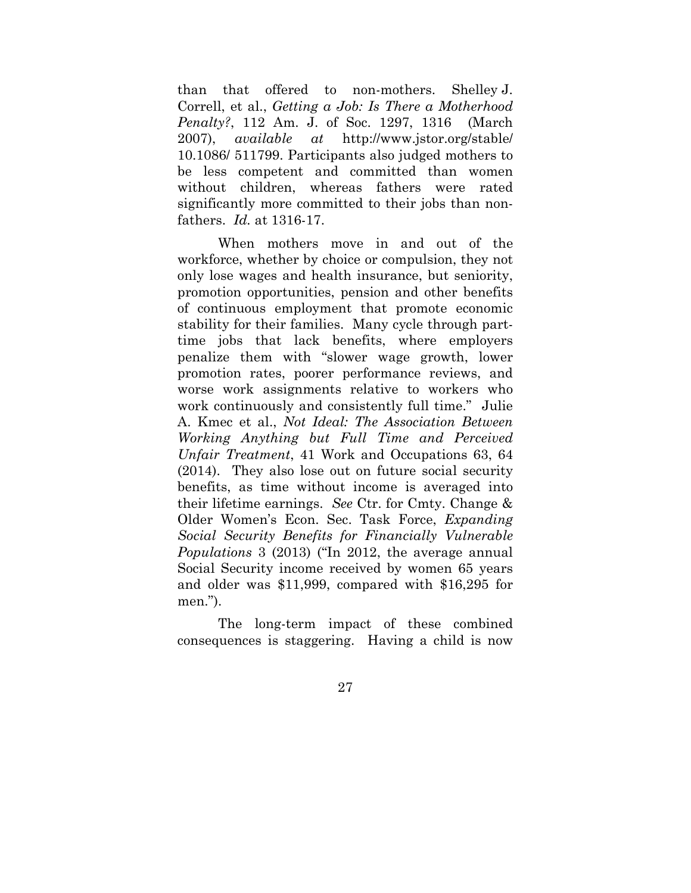than that offered to non-mothers. Shelley J. Correll, et al., *Getting a Job: Is There a Motherhood Penalty?*, 112 Am. J. of Soc. 1297, 1316 (March 2007), *available at* http://www.jstor.org/stable/ 10.1086/ 511799. Participants also judged mothers to be less competent and committed than women without children, whereas fathers were rated significantly more committed to their jobs than nonfathers. *Id.* at 1316-17.

When mothers move in and out of the workforce, whether by choice or compulsion, they not only lose wages and health insurance, but seniority, promotion opportunities, pension and other benefits of continuous employment that promote economic stability for their families. Many cycle through parttime jobs that lack benefits, where employers penalize them with "slower wage growth, lower promotion rates, poorer performance reviews, and worse work assignments relative to workers who work continuously and consistently full time." Julie A. Kmec et al., *Not Ideal: The Association Between Working Anything but Full Time and Perceived Unfair Treatment*, 41 Work and Occupations 63, 64 (2014). They also lose out on future social security benefits, as time without income is averaged into their lifetime earnings. *See* Ctr. for Cmty. Change & Older Women's Econ. Sec. Task Force, *Expanding Social Security Benefits for Financially Vulnerable Populations* 3 (2013) ("In 2012, the average annual Social Security income received by women 65 years and older was \$11,999, compared with \$16,295 for men.").

The long-term impact of these combined consequences is staggering. Having a child is now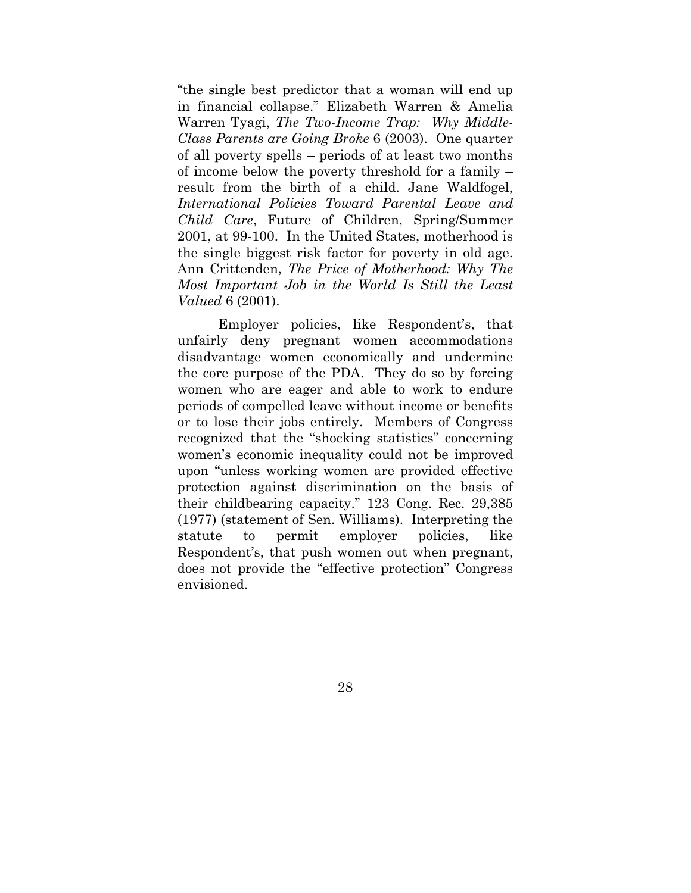"the single best predictor that a woman will end up in financial collapse." Elizabeth Warren & Amelia Warren Tyagi, *The Two-Income Trap: Why Middle-Class Parents are Going Broke* 6 (2003). One quarter of all poverty spells – periods of at least two months of income below the poverty threshold for a family – result from the birth of a child. Jane Waldfogel, *International Policies Toward Parental Leave and Child Care*, Future of Children, Spring/Summer 2001, at 99-100. In the United States, motherhood is the single biggest risk factor for poverty in old age. Ann Crittenden, *The Price of Motherhood: Why The Most Important Job in the World Is Still the Least Valued* 6 (2001).

Employer policies, like Respondent's, that unfairly deny pregnant women accommodations disadvantage women economically and undermine the core purpose of the PDA. They do so by forcing women who are eager and able to work to endure periods of compelled leave without income or benefits or to lose their jobs entirely. Members of Congress recognized that the "shocking statistics" concerning women's economic inequality could not be improved upon "unless working women are provided effective protection against discrimination on the basis of their childbearing capacity." 123 Cong. Rec. 29,385 (1977) (statement of Sen. Williams). Interpreting the statute to permit employer policies, like Respondent's, that push women out when pregnant, does not provide the "effective protection" Congress envisioned.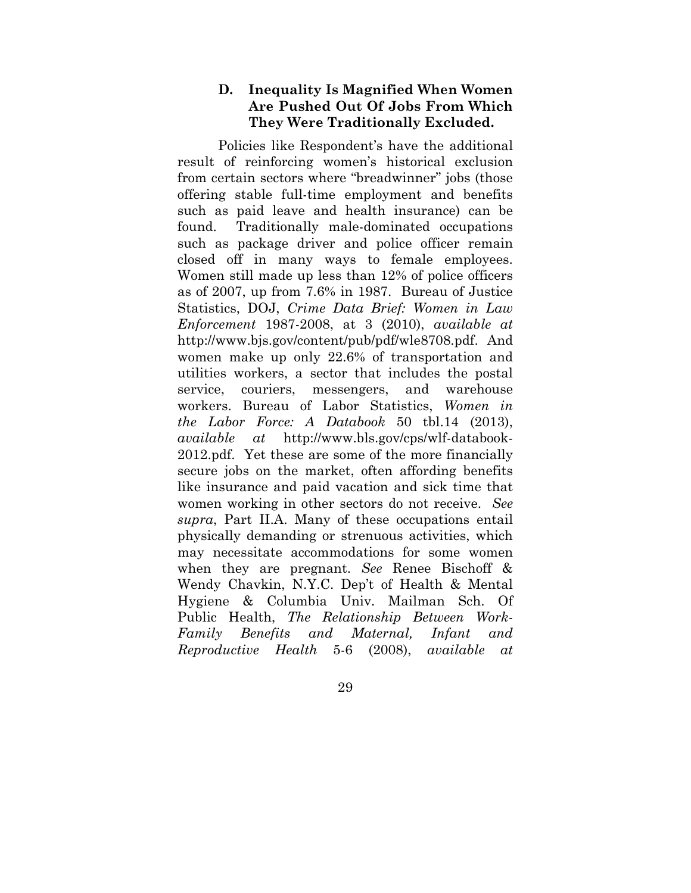## **D. Inequality Is Magnified When Women Are Pushed Out Of Jobs From Which They Were Traditionally Excluded.**

Policies like Respondent's have the additional result of reinforcing women's historical exclusion from certain sectors where "breadwinner" jobs (those offering stable full-time employment and benefits such as paid leave and health insurance) can be found. Traditionally male-dominated occupations such as package driver and police officer remain closed off in many ways to female employees. Women still made up less than 12% of police officers as of 2007, up from 7.6% in 1987. Bureau of Justice Statistics, DOJ, *Crime Data Brief: Women in Law Enforcement* 1987-2008, at 3 (2010), *available at* http://www.bjs.gov/content/pub/pdf/wle8708.pdf. And women make up only 22.6% of transportation and utilities workers, a sector that includes the postal service, couriers, messengers, and warehouse workers. Bureau of Labor Statistics, *Women in the Labor Force: A Databook* 50 tbl.14 (2013), *available at* http://www.bls.gov/cps/wlf-databook-2012.pdf. Yet these are some of the more financially secure jobs on the market, often affording benefits like insurance and paid vacation and sick time that women working in other sectors do not receive. *See supra*, Part II.A. Many of these occupations entail physically demanding or strenuous activities, which may necessitate accommodations for some women when they are pregnant. *See* Renee Bischoff & Wendy Chavkin, N.Y.C. Dep't of Health & Mental Hygiene & Columbia Univ. Mailman Sch. Of Public Health, *The Relationship Between Work-Family Benefits and Maternal, Infant and Reproductive Health* 5-6 (2008), *available at*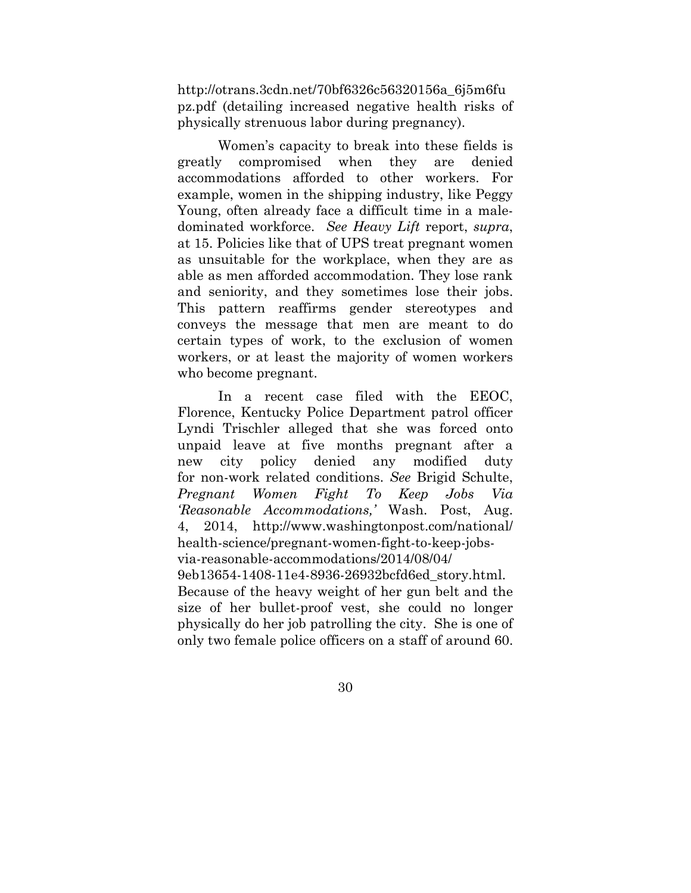http://otrans.3cdn.net/70bf6326c56320156a\_6j5m6fu pz.pdf (detailing increased negative health risks of physically strenuous labor during pregnancy).

Women's capacity to break into these fields is greatly compromised when they are denied accommodations afforded to other workers. For example, women in the shipping industry, like Peggy Young, often already face a difficult time in a maledominated workforce. *See Heavy Lift* report, *supra*, at 15. Policies like that of UPS treat pregnant women as unsuitable for the workplace, when they are as able as men afforded accommodation. They lose rank and seniority, and they sometimes lose their jobs. This pattern reaffirms gender stereotypes and conveys the message that men are meant to do certain types of work, to the exclusion of women workers, or at least the majority of women workers who become pregnant.

In a recent case filed with the EEOC, Florence, Kentucky Police Department patrol officer Lyndi Trischler alleged that she was forced onto unpaid leave at five months pregnant after a new city policy denied any modified duty for non-work related conditions. *See* Brigid Schulte, *Pregnant Women Fight To Keep Jobs Via 'Reasonable Accommodations,'* Wash. Post, Aug. 4, 2014, http://www.washingtonpost.com/national/ health-science/pregnant-women-fight-to-keep-jobsvia-reasonable-accommodations/2014/08/04/ 9eb13654-1408-11e4-8936-26932bcfd6ed\_story.html. Because of the heavy weight of her gun belt and the size of her bullet-proof vest, she could no longer physically do her job patrolling the city. She is one of only two female police officers on a staff of around 60.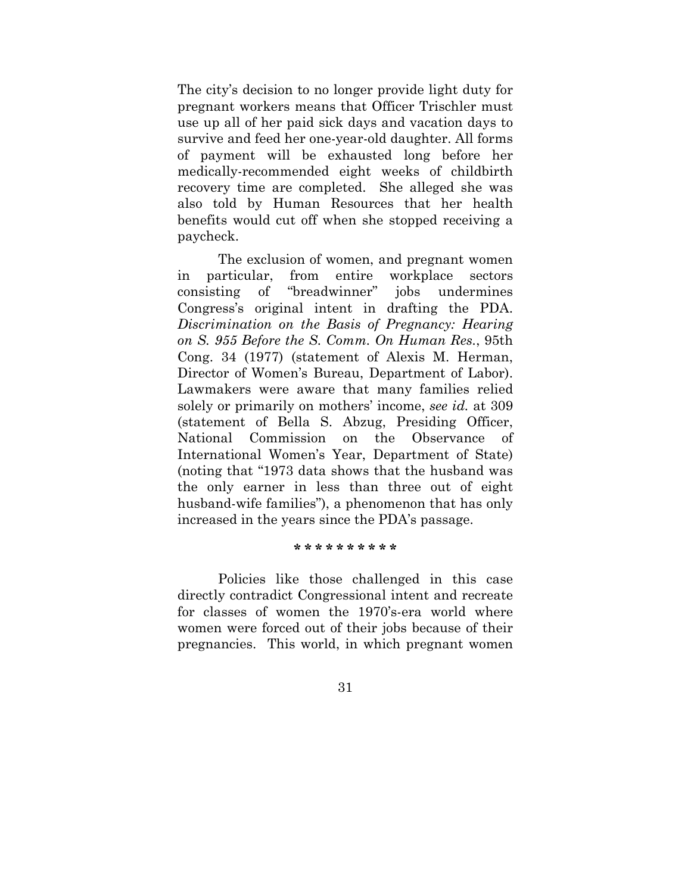The city's decision to no longer provide light duty for pregnant workers means that Officer Trischler must use up all of her paid sick days and vacation days to survive and feed her one-year-old daughter. All forms of payment will be exhausted long before her medically-recommended eight weeks of childbirth recovery time are completed. She alleged she was also told by Human Resources that her health benefits would cut off when she stopped receiving a paycheck.

The exclusion of women, and pregnant women in particular, from entire workplace sectors consisting of "breadwinner" jobs undermines Congress's original intent in drafting the PDA. *Discrimination on the Basis of Pregnancy: Hearing on S. 955 Before the S. Comm. On Human Res.*, 95th Cong. 34 (1977) (statement of Alexis M. Herman, Director of Women's Bureau, Department of Labor). Lawmakers were aware that many families relied solely or primarily on mothers' income, *see id.* at 309 (statement of Bella S. Abzug, Presiding Officer, National Commission on the Observance of International Women's Year, Department of State) (noting that "1973 data shows that the husband was the only earner in less than three out of eight husband-wife families"), a phenomenon that has only increased in the years since the PDA's passage.

### **\* \* \* \* \* \* \* \* \* \***

Policies like those challenged in this case directly contradict Congressional intent and recreate for classes of women the 1970's-era world where women were forced out of their jobs because of their pregnancies. This world, in which pregnant women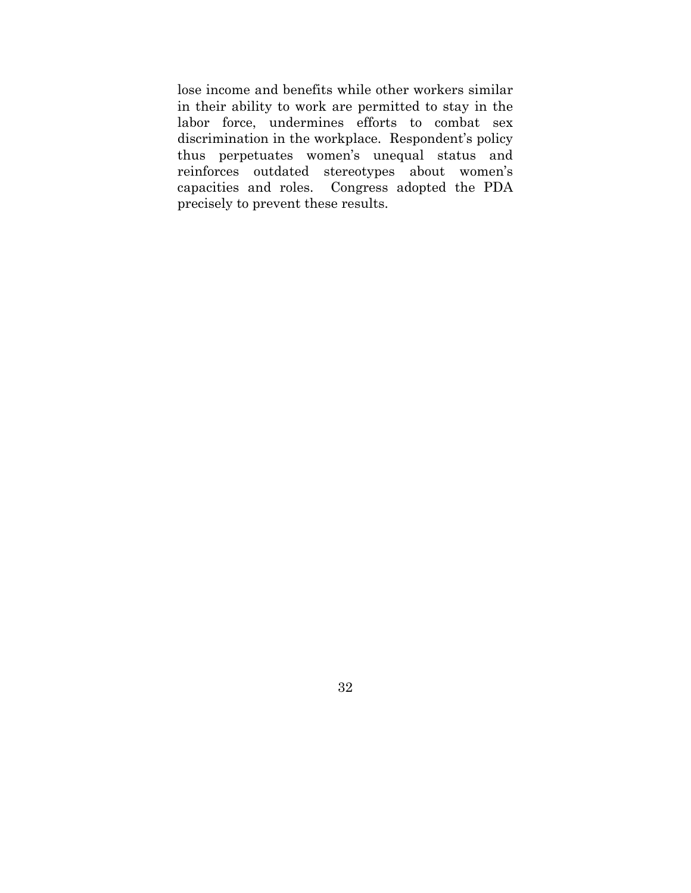lose income and benefits while other workers similar in their ability to work are permitted to stay in the labor force, undermines efforts to combat sex discrimination in the workplace. Respondent's policy thus perpetuates women's unequal status and reinforces outdated stereotypes about women's capacities and roles. Congress adopted the PDA precisely to prevent these results.